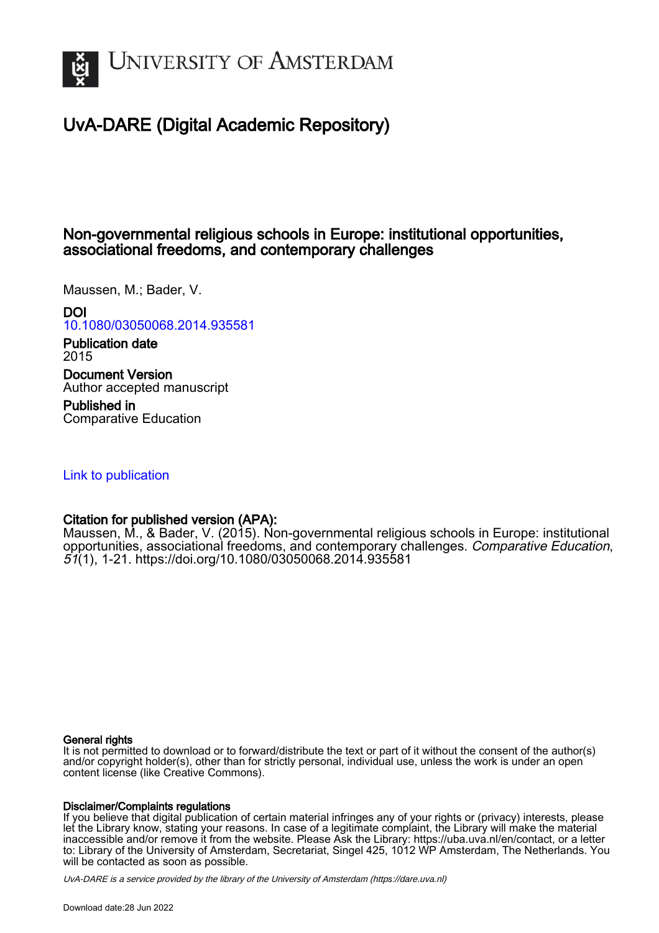

# UvA-DARE (Digital Academic Repository)

# Non-governmental religious schools in Europe: institutional opportunities, associational freedoms, and contemporary challenges

Maussen, M.; Bader, V.

DOI

[10.1080/03050068.2014.935581](https://doi.org/10.1080/03050068.2014.935581)

Publication date 2015

Document Version Author accepted manuscript

Published in Comparative Education

[Link to publication](https://dare.uva.nl/personal/pure/en/publications/nongovernmental-religious-schools-in-europe-institutional-opportunities-associational-freedoms-and-contemporary-challenges(2f77b489-e751-4dd6-807e-3bcc7c8db1cf).html)

## Citation for published version (APA):

Maussen, M., & Bader, V. (2015). Non-governmental religious schools in Europe: institutional opportunities, associational freedoms, and contemporary challenges. Comparative Education, 51(1), 1-21.<https://doi.org/10.1080/03050068.2014.935581>

#### General rights

It is not permitted to download or to forward/distribute the text or part of it without the consent of the author(s) and/or copyright holder(s), other than for strictly personal, individual use, unless the work is under an open content license (like Creative Commons).

#### Disclaimer/Complaints regulations

If you believe that digital publication of certain material infringes any of your rights or (privacy) interests, please let the Library know, stating your reasons. In case of a legitimate complaint, the Library will make the material inaccessible and/or remove it from the website. Please Ask the Library: https://uba.uva.nl/en/contact, or a letter to: Library of the University of Amsterdam, Secretariat, Singel 425, 1012 WP Amsterdam, The Netherlands. You will be contacted as soon as possible.

UvA-DARE is a service provided by the library of the University of Amsterdam (http*s*://dare.uva.nl)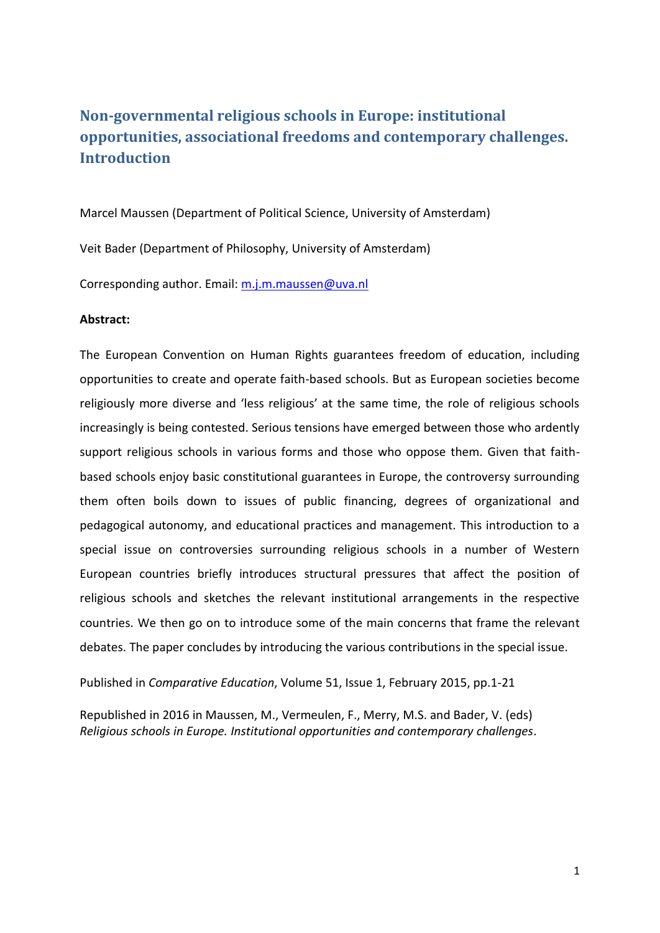# **Non-governmental religious schools in Europe: institutional opportunities, associational freedoms and contemporary challenges. Introduction**

## Marcel Maussen (Department of Political Science, University of Amsterdam)

Veit Bader (Department of Philosophy, University of Amsterdam)

Corresponding author. Email: [m.j.m.maussen@uva.nl](mailto:m.j.m.maussen@uva.nl)

## **Abstract:**

The European Convention on Human Rights guarantees freedom of education, including opportunities to create and operate faith-based schools. But as European societies become religiously more diverse and 'less religious' at the same time, the role of religious schools increasingly is being contested. Serious tensions have emerged between those who ardently support religious schools in various forms and those who oppose them. Given that faithbased schools enjoy basic constitutional guarantees in Europe, the controversy surrounding them often boils down to issues of public financing, degrees of organizational and pedagogical autonomy, and educational practices and management. This introduction to a special issue on controversies surrounding religious schools in a number of Western European countries briefly introduces structural pressures that affect the position of religious schools and sketches the relevant institutional arrangements in the respective countries. We then go on to introduce some of the main concerns that frame the relevant debates. The paper concludes by introducing the various contributions in the special issue.

Published in *Comparative Education*, Volume 51, Issue 1, February 2015, pp.1-21

Republished in 2016 in Maussen, M., Vermeulen, F., Merry, M.S. and Bader, V. (eds) *Religious schools in Europe. Institutional opportunities and contemporary challenges*.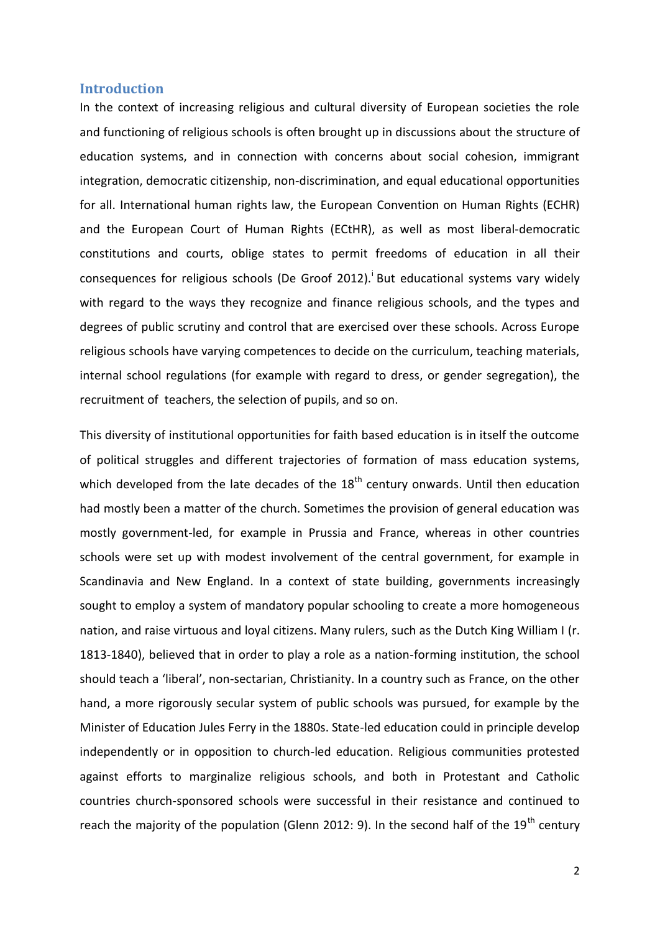## **Introduction**

In the context of increasing religious and cultural diversity of European societies the role and functioning of religious schools is often brought up in discussions about the structure of education systems, and in connection with concerns about social cohesion, immigrant integration, democratic citizenship, non-discrimination, and equal educational opportunities for all. International human rights law, the European Convention on Human Rights (ECHR) and the European Court of Human Rights (ECtHR), as well as most liberal-democratic constitutions and courts, oblige states to permit freedoms of education in all their consequences for religious schools (De Groof 2012).<sup>i</sup> But educational systems vary widely with regard to the ways they recognize and finance religious schools, and the types and degrees of public scrutiny and control that are exercised over these schools. Across Europe religious schools have varying competences to decide on the curriculum, teaching materials, internal school regulations (for example with regard to dress, or gender segregation), the recruitment of teachers, the selection of pupils, and so on.

This diversity of institutional opportunities for faith based education is in itself the outcome of political struggles and different trajectories of formation of mass education systems, which developed from the late decades of the  $18<sup>th</sup>$  century onwards. Until then education had mostly been a matter of the church. Sometimes the provision of general education was mostly government-led, for example in Prussia and France, whereas in other countries schools were set up with modest involvement of the central government, for example in Scandinavia and New England. In a context of state building, governments increasingly sought to employ a system of mandatory popular schooling to create a more homogeneous nation, and raise virtuous and loyal citizens. Many rulers, such as the Dutch King William I (r. 1813-1840), believed that in order to play a role as a nation-forming institution, the school should teach a 'liberal', non-sectarian, Christianity. In a country such as France, on the other hand, a more rigorously secular system of public schools was pursued, for example by the Minister of Education Jules Ferry in the 1880s. State-led education could in principle develop independently or in opposition to church-led education. Religious communities protested against efforts to marginalize religious schools, and both in Protestant and Catholic countries church-sponsored schools were successful in their resistance and continued to reach the majority of the population (Glenn 2012: 9). In the second half of the 19<sup>th</sup> century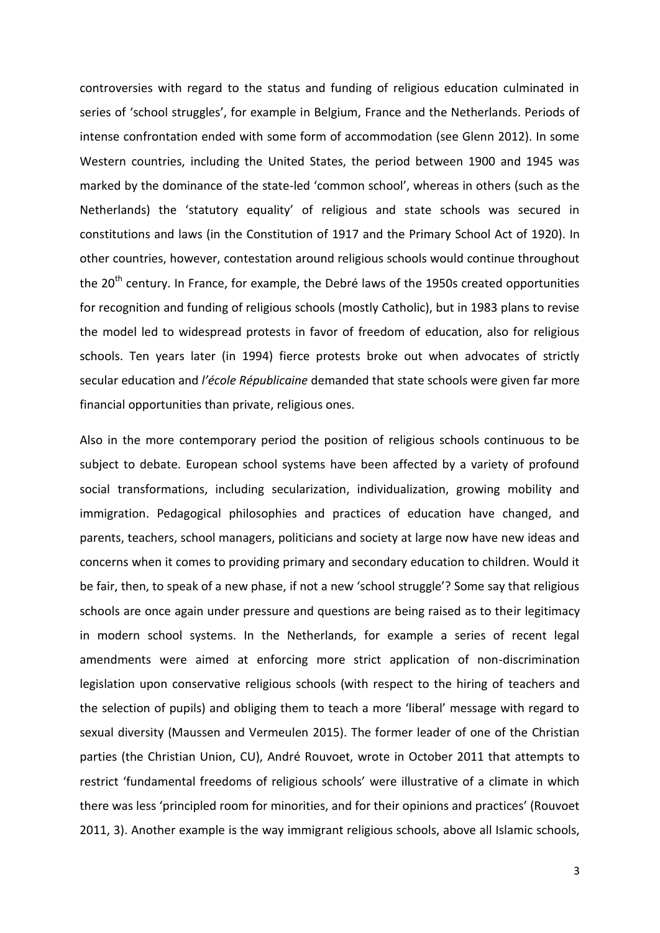controversies with regard to the status and funding of religious education culminated in series of 'school struggles', for example in Belgium, France and the Netherlands. Periods of intense confrontation ended with some form of accommodation (see Glenn 2012). In some Western countries, including the United States, the period between 1900 and 1945 was marked by the dominance of the state-led 'common school', whereas in others (such as the Netherlands) the 'statutory equality' of religious and state schools was secured in constitutions and laws (in the Constitution of 1917 and the Primary School Act of 1920). In other countries, however, contestation around religious schools would continue throughout the  $20<sup>th</sup>$  century. In France, for example, the Debré laws of the 1950s created opportunities for recognition and funding of religious schools (mostly Catholic), but in 1983 plans to revise the model led to widespread protests in favor of freedom of education, also for religious schools. Ten years later (in 1994) fierce protests broke out when advocates of strictly secular education and *l'école Républicaine* demanded that state schools were given far more financial opportunities than private, religious ones.

Also in the more contemporary period the position of religious schools continuous to be subject to debate. European school systems have been affected by a variety of profound social transformations, including secularization, individualization, growing mobility and immigration. Pedagogical philosophies and practices of education have changed, and parents, teachers, school managers, politicians and society at large now have new ideas and concerns when it comes to providing primary and secondary education to children. Would it be fair, then, to speak of a new phase, if not a new 'school struggle'? Some say that religious schools are once again under pressure and questions are being raised as to their legitimacy in modern school systems. In the Netherlands, for example a series of recent legal amendments were aimed at enforcing more strict application of non-discrimination legislation upon conservative religious schools (with respect to the hiring of teachers and the selection of pupils) and obliging them to teach a more 'liberal' message with regard to sexual diversity (Maussen and Vermeulen 2015). The former leader of one of the Christian parties (the Christian Union, CU), André Rouvoet, wrote in October 2011 that attempts to restrict 'fundamental freedoms of religious schools' were illustrative of a climate in which there was less 'principled room for minorities, and for their opinions and practices' (Rouvoet 2011, 3). Another example is the way immigrant religious schools, above all Islamic schools,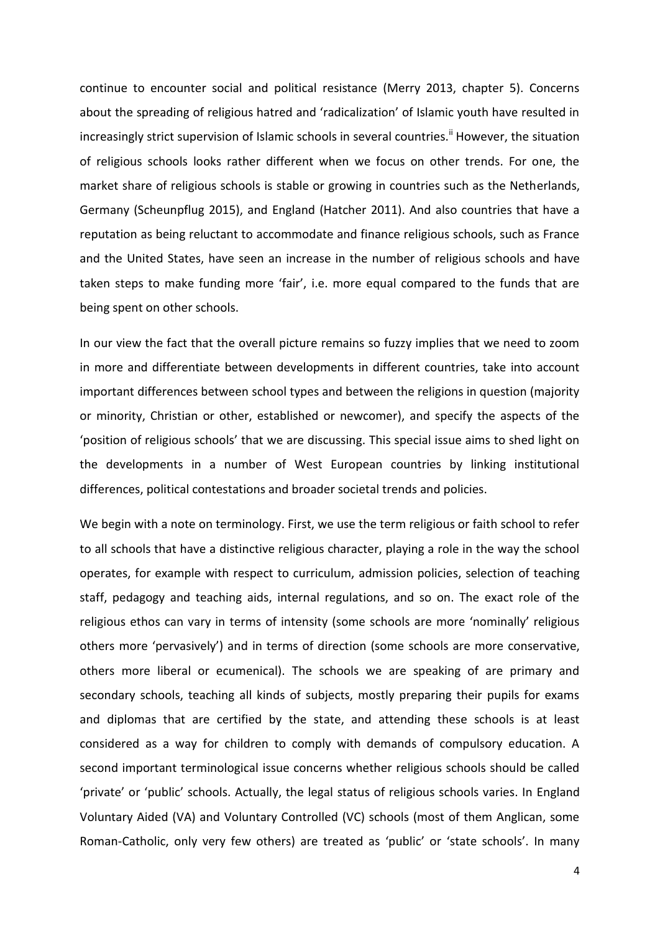continue to encounter social and political resistance (Merry 2013, chapter 5). Concerns about the spreading of religious hatred and 'radicalization' of Islamic youth have resulted in increasingly strict supervision of Islamic schools in several countries.<sup>ii</sup> However, the situation of religious schools looks rather different when we focus on other trends. For one, the market share of religious schools is stable or growing in countries such as the Netherlands, Germany (Scheunpflug 2015), and England (Hatcher 2011). And also countries that have a reputation as being reluctant to accommodate and finance religious schools, such as France and the United States, have seen an increase in the number of religious schools and have taken steps to make funding more 'fair', i.e. more equal compared to the funds that are being spent on other schools.

In our view the fact that the overall picture remains so fuzzy implies that we need to zoom in more and differentiate between developments in different countries, take into account important differences between school types and between the religions in question (majority or minority, Christian or other, established or newcomer), and specify the aspects of the 'position of religious schools' that we are discussing. This special issue aims to shed light on the developments in a number of West European countries by linking institutional differences, political contestations and broader societal trends and policies.

We begin with a note on terminology. First, we use the term religious or faith school to refer to all schools that have a distinctive religious character, playing a role in the way the school operates, for example with respect to curriculum, admission policies, selection of teaching staff, pedagogy and teaching aids, internal regulations, and so on. The exact role of the religious ethos can vary in terms of intensity (some schools are more 'nominally' religious others more 'pervasively') and in terms of direction (some schools are more conservative, others more liberal or ecumenical). The schools we are speaking of are primary and secondary schools, teaching all kinds of subjects, mostly preparing their pupils for exams and diplomas that are certified by the state, and attending these schools is at least considered as a way for children to comply with demands of compulsory education. A second important terminological issue concerns whether religious schools should be called 'private' or 'public' schools. Actually, the legal status of religious schools varies. In England Voluntary Aided (VA) and Voluntary Controlled (VC) schools (most of them Anglican, some Roman-Catholic, only very few others) are treated as 'public' or 'state schools'. In many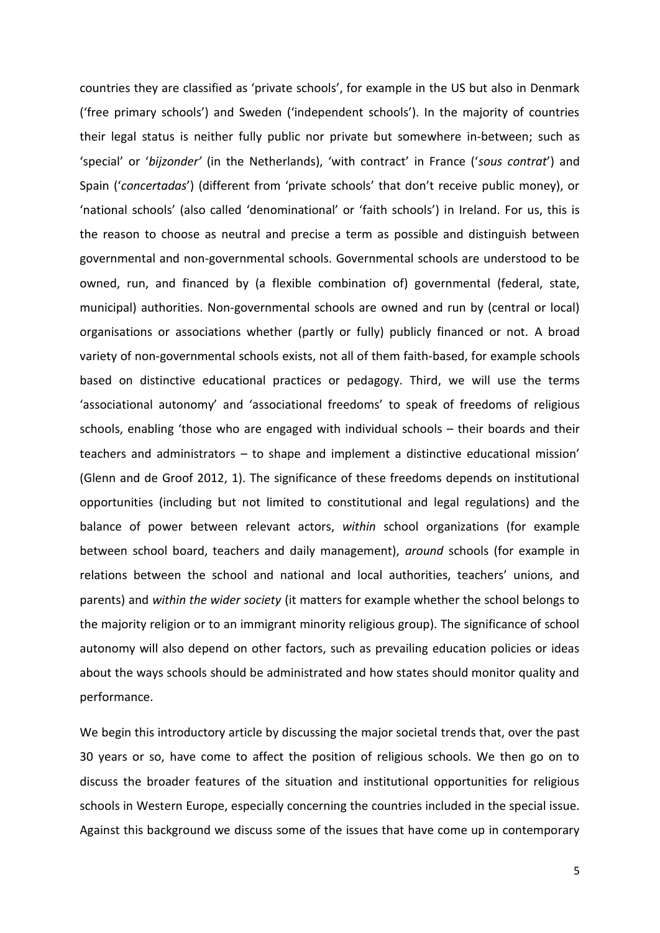countries they are classified as 'private schools', for example in the US but also in Denmark ('free primary schools') and Sweden ('independent schools'). In the majority of countries their legal status is neither fully public nor private but somewhere in-between; such as 'special' or '*bijzonder'* (in the Netherlands), 'with contract' in France ('*sous contrat*') and Spain ('*concertadas*') (different from 'private schools' that don't receive public money), or 'national schools' (also called 'denominational' or 'faith schools') in Ireland. For us, this is the reason to choose as neutral and precise a term as possible and distinguish between governmental and non-governmental schools. Governmental schools are understood to be owned, run, and financed by (a flexible combination of) governmental (federal, state, municipal) authorities. Non-governmental schools are owned and run by (central or local) organisations or associations whether (partly or fully) publicly financed or not. A broad variety of non-governmental schools exists, not all of them faith-based, for example schools based on distinctive educational practices or pedagogy. Third, we will use the terms 'associational autonomy' and 'associational freedoms' to speak of freedoms of religious schools, enabling 'those who are engaged with individual schools – their boards and their teachers and administrators – to shape and implement a distinctive educational mission' (Glenn and de Groof 2012, 1). The significance of these freedoms depends on institutional opportunities (including but not limited to constitutional and legal regulations) and the balance of power between relevant actors, *within* school organizations (for example between school board, teachers and daily management), *around* schools (for example in relations between the school and national and local authorities, teachers' unions, and parents) and *within the wider society* (it matters for example whether the school belongs to the majority religion or to an immigrant minority religious group). The significance of school autonomy will also depend on other factors, such as prevailing education policies or ideas about the ways schools should be administrated and how states should monitor quality and performance.

We begin this introductory article by discussing the major societal trends that, over the past 30 years or so, have come to affect the position of religious schools. We then go on to discuss the broader features of the situation and institutional opportunities for religious schools in Western Europe, especially concerning the countries included in the special issue. Against this background we discuss some of the issues that have come up in contemporary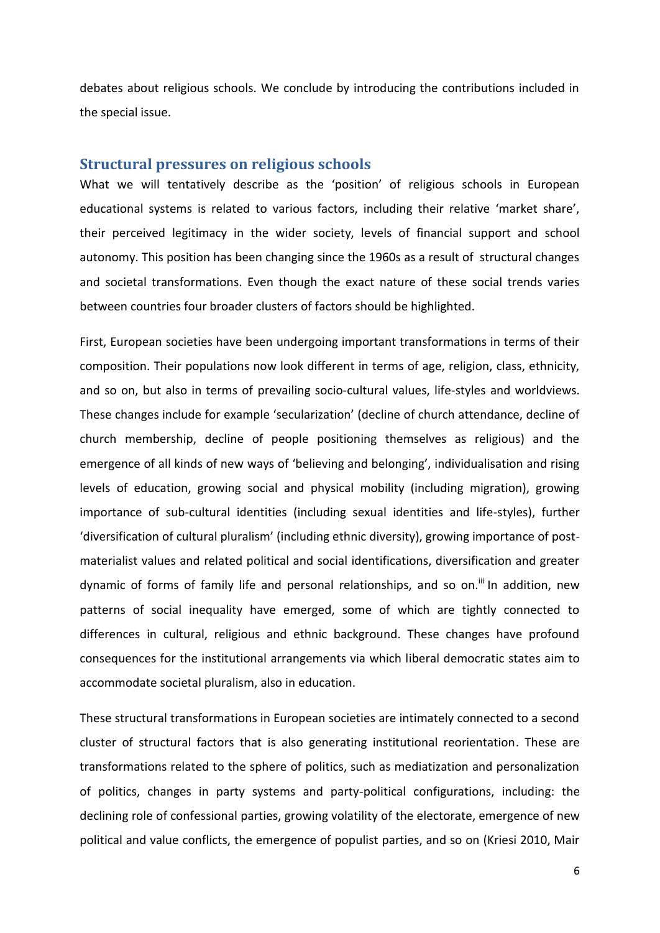debates about religious schools. We conclude by introducing the contributions included in the special issue.

## **Structural pressures on religious schools**

What we will tentatively describe as the 'position' of religious schools in European educational systems is related to various factors, including their relative 'market share', their perceived legitimacy in the wider society, levels of financial support and school autonomy. This position has been changing since the 1960s as a result of structural changes and societal transformations. Even though the exact nature of these social trends varies between countries four broader clusters of factors should be highlighted.

First, European societies have been undergoing important transformations in terms of their composition. Their populations now look different in terms of age, religion, class, ethnicity, and so on, but also in terms of prevailing socio-cultural values, life-styles and worldviews. These changes include for example 'secularization' (decline of church attendance, decline of church membership, decline of people positioning themselves as religious) and the emergence of all kinds of new ways of 'believing and belonging', individualisation and rising levels of education, growing social and physical mobility (including migration), growing importance of sub-cultural identities (including sexual identities and life-styles), further 'diversification of cultural pluralism' (including ethnic diversity), growing importance of postmaterialist values and related political and social identifications, diversification and greater dynamic of forms of family life and personal relationships, and so on.<sup>iii</sup> In addition, new patterns of social inequality have emerged, some of which are tightly connected to differences in cultural, religious and ethnic background. These changes have profound consequences for the institutional arrangements via which liberal democratic states aim to accommodate societal pluralism, also in education.

These structural transformations in European societies are intimately connected to a second cluster of structural factors that is also generating institutional reorientation. These are transformations related to the sphere of politics, such as mediatization and personalization of politics, changes in party systems and party-political configurations, including: the declining role of confessional parties, growing volatility of the electorate, emergence of new political and value conflicts, the emergence of populist parties, and so on (Kriesi 2010, Mair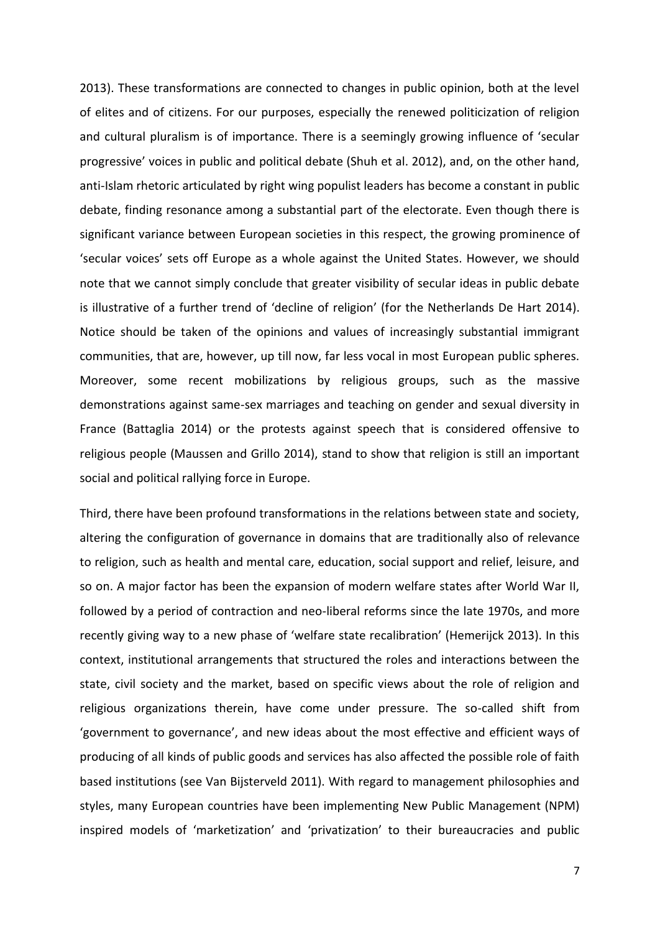2013). These transformations are connected to changes in public opinion, both at the level of elites and of citizens. For our purposes, especially the renewed politicization of religion and cultural pluralism is of importance. There is a seemingly growing influence of 'secular progressive' voices in public and political debate (Shuh et al. 2012), and, on the other hand, anti-Islam rhetoric articulated by right wing populist leaders has become a constant in public debate, finding resonance among a substantial part of the electorate. Even though there is significant variance between European societies in this respect, the growing prominence of 'secular voices' sets off Europe as a whole against the United States. However, we should note that we cannot simply conclude that greater visibility of secular ideas in public debate is illustrative of a further trend of 'decline of religion' (for the Netherlands De Hart 2014). Notice should be taken of the opinions and values of increasingly substantial immigrant communities, that are, however, up till now, far less vocal in most European public spheres. Moreover, some recent mobilizations by religious groups, such as the massive demonstrations against same-sex marriages and teaching on gender and sexual diversity in France (Battaglia 2014) or the protests against speech that is considered offensive to religious people (Maussen and Grillo 2014), stand to show that religion is still an important social and political rallying force in Europe.

Third, there have been profound transformations in the relations between state and society, altering the configuration of governance in domains that are traditionally also of relevance to religion, such as health and mental care, education, social support and relief, leisure, and so on. A major factor has been the expansion of modern welfare states after World War II, followed by a period of contraction and neo-liberal reforms since the late 1970s, and more recently giving way to a new phase of 'welfare state recalibration' (Hemerijck 2013). In this context, institutional arrangements that structured the roles and interactions between the state, civil society and the market, based on specific views about the role of religion and religious organizations therein, have come under pressure. The so-called shift from 'government to governance', and new ideas about the most effective and efficient ways of producing of all kinds of public goods and services has also affected the possible role of faith based institutions (see Van Bijsterveld 2011). With regard to management philosophies and styles, many European countries have been implementing New Public Management (NPM) inspired models of 'marketization' and 'privatization' to their bureaucracies and public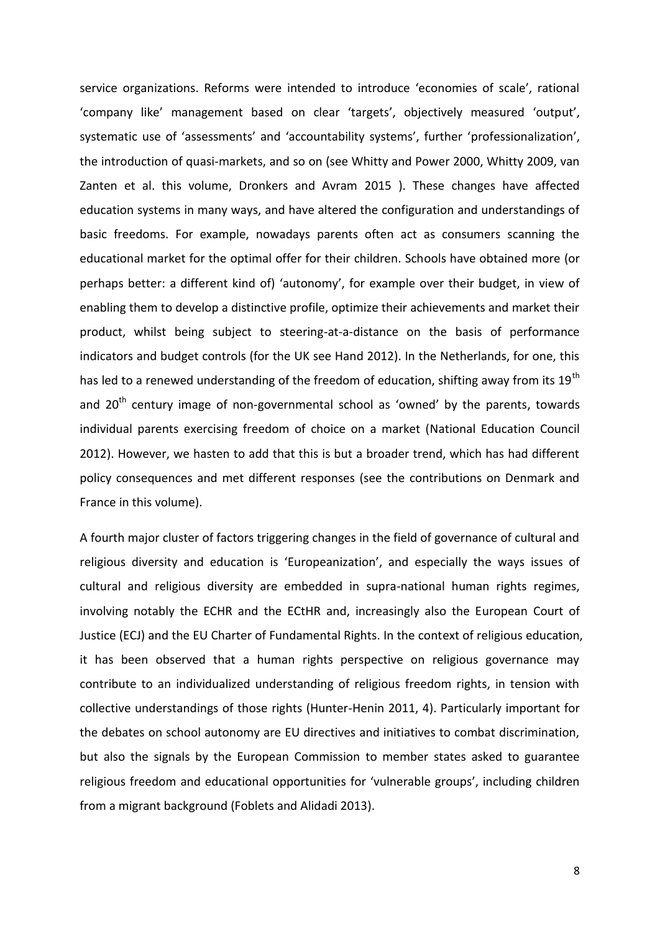service organizations. Reforms were intended to introduce 'economies of scale', rational 'company like' management based on clear 'targets', objectively measured 'output', systematic use of 'assessments' and 'accountability systems', further 'professionalization', the introduction of quasi-markets, and so on (see Whitty and Power 2000, Whitty 2009, van Zanten et al. this volume, Dronkers and Avram 2015 ). These changes have affected education systems in many ways, and have altered the configuration and understandings of basic freedoms. For example, nowadays parents often act as consumers scanning the educational market for the optimal offer for their children. Schools have obtained more (or perhaps better: a different kind of) 'autonomy', for example over their budget, in view of enabling them to develop a distinctive profile, optimize their achievements and market their product, whilst being subject to steering-at-a-distance on the basis of performance indicators and budget controls (for the UK see Hand 2012). In the Netherlands, for one, this has led to a renewed understanding of the freedom of education, shifting away from its 19<sup>th</sup> and 20<sup>th</sup> century image of non-governmental school as 'owned' by the parents, towards individual parents exercising freedom of choice on a market (National Education Council 2012). However, we hasten to add that this is but a broader trend, which has had different policy consequences and met different responses (see the contributions on Denmark and France in this volume).

A fourth major cluster of factors triggering changes in the field of governance of cultural and religious diversity and education is 'Europeanization', and especially the ways issues of cultural and religious diversity are embedded in supra-national human rights regimes, involving notably the ECHR and the ECtHR and, increasingly also the European Court of Justice (ECJ) and the EU Charter of Fundamental Rights. In the context of religious education, it has been observed that a human rights perspective on religious governance may contribute to an individualized understanding of religious freedom rights, in tension with collective understandings of those rights (Hunter-Henin 2011, 4). Particularly important for the debates on school autonomy are EU directives and initiatives to combat discrimination, but also the signals by the European Commission to member states asked to guarantee religious freedom and educational opportunities for 'vulnerable groups', including children from a migrant background (Foblets and Alidadi 2013).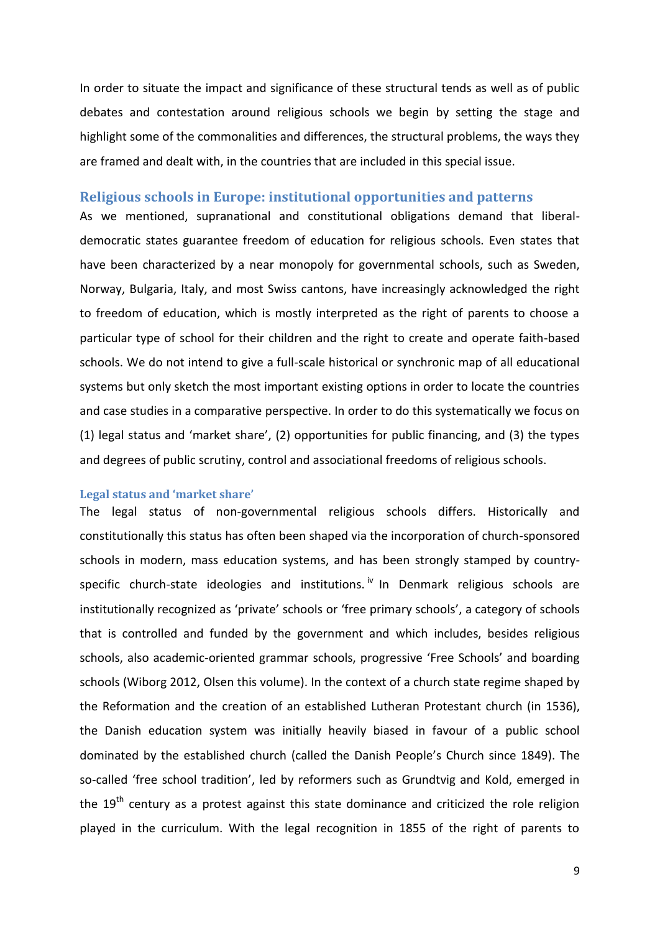In order to situate the impact and significance of these structural tends as well as of public debates and contestation around religious schools we begin by setting the stage and highlight some of the commonalities and differences, the structural problems, the ways they are framed and dealt with, in the countries that are included in this special issue.

## **Religious schools in Europe: institutional opportunities and patterns**

As we mentioned, supranational and constitutional obligations demand that liberaldemocratic states guarantee freedom of education for religious schools. Even states that have been characterized by a near monopoly for governmental schools, such as Sweden, Norway, Bulgaria, Italy, and most Swiss cantons, have increasingly acknowledged the right to freedom of education, which is mostly interpreted as the right of parents to choose a particular type of school for their children and the right to create and operate faith-based schools. We do not intend to give a full-scale historical or synchronic map of all educational systems but only sketch the most important existing options in order to locate the countries and case studies in a comparative perspective. In order to do this systematically we focus on (1) legal status and 'market share', (2) opportunities for public financing, and (3) the types and degrees of public scrutiny, control and associational freedoms of religious schools.

## **Legal status and 'market share'**

The legal status of non-governmental religious schools differs. Historically and constitutionally this status has often been shaped via the incorporation of church-sponsored schools in modern, mass education systems, and has been strongly stamped by countryspecific church-state ideologies and institutions.  $\sqrt{v}$  In Denmark religious schools are institutionally recognized as 'private' schools or 'free primary schools', a category of schools that is controlled and funded by the government and which includes, besides religious schools, also academic-oriented grammar schools, progressive 'Free Schools' and boarding schools (Wiborg 2012, Olsen this volume). In the context of a church state regime shaped by the Reformation and the creation of an established Lutheran Protestant church (in 1536), the Danish education system was initially heavily biased in favour of a public school dominated by the established church (called the Danish People's Church since 1849). The so-called 'free school tradition', led by reformers such as Grundtvig and Kold, emerged in the  $19<sup>th</sup>$  century as a protest against this state dominance and criticized the role religion played in the curriculum. With the legal recognition in 1855 of the right of parents to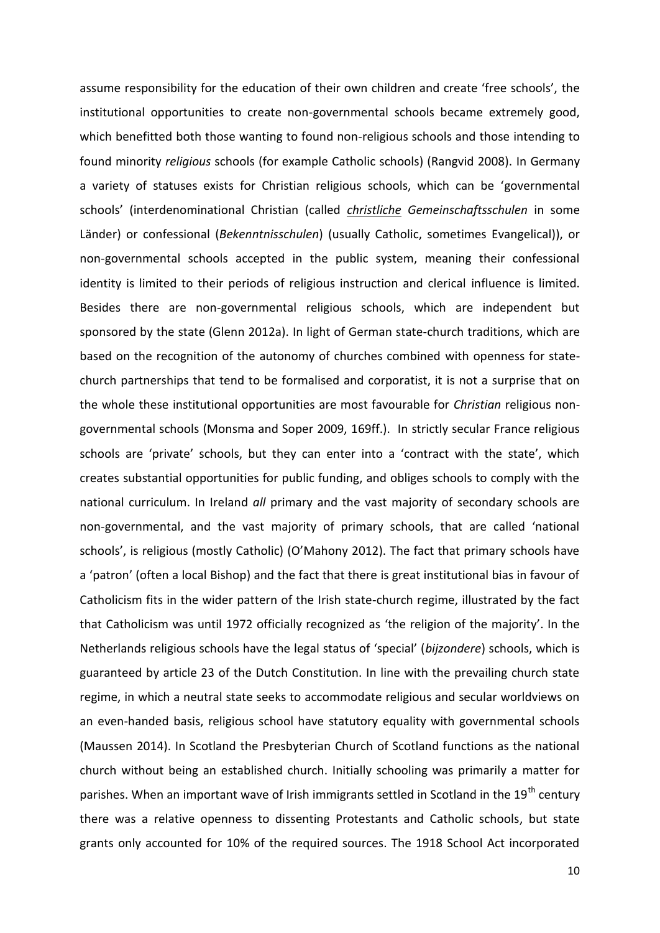assume responsibility for the education of their own children and create 'free schools', the institutional opportunities to create non-governmental schools became extremely good, which benefitted both those wanting to found non-religious schools and those intending to found minority *religious* schools (for example Catholic schools) (Rangvid 2008). In Germany a variety of statuses exists for Christian religious schools, which can be 'governmental schools' (interdenominational Christian (called *christliche Gemeinschaftsschulen* in some Länder) or confessional (*Bekenntnisschulen*) (usually Catholic, sometimes Evangelical)), or non-governmental schools accepted in the public system, meaning their confessional identity is limited to their periods of religious instruction and clerical influence is limited. Besides there are non-governmental religious schools, which are independent but sponsored by the state (Glenn 2012a). In light of German state-church traditions, which are based on the recognition of the autonomy of churches combined with openness for statechurch partnerships that tend to be formalised and corporatist, it is not a surprise that on the whole these institutional opportunities are most favourable for *Christian* religious nongovernmental schools (Monsma and Soper 2009, 169ff.). In strictly secular France religious schools are 'private' schools, but they can enter into a 'contract with the state', which creates substantial opportunities for public funding, and obliges schools to comply with the national curriculum. In Ireland *all* primary and the vast majority of secondary schools are non-governmental, and the vast majority of primary schools, that are called 'national schools', is religious (mostly Catholic) (O'Mahony 2012). The fact that primary schools have a 'patron' (often a local Bishop) and the fact that there is great institutional bias in favour of Catholicism fits in the wider pattern of the Irish state-church regime, illustrated by the fact that Catholicism was until 1972 officially recognized as 'the religion of the majority'. In the Netherlands religious schools have the legal status of 'special' (*bijzondere*) schools, which is guaranteed by article 23 of the Dutch Constitution. In line with the prevailing church state regime, in which a neutral state seeks to accommodate religious and secular worldviews on an even-handed basis, religious school have statutory equality with governmental schools (Maussen 2014). In Scotland the Presbyterian Church of Scotland functions as the national church without being an established church. Initially schooling was primarily a matter for parishes. When an important wave of Irish immigrants settled in Scotland in the 19<sup>th</sup> century there was a relative openness to dissenting Protestants and Catholic schools, but state grants only accounted for 10% of the required sources. The 1918 School Act incorporated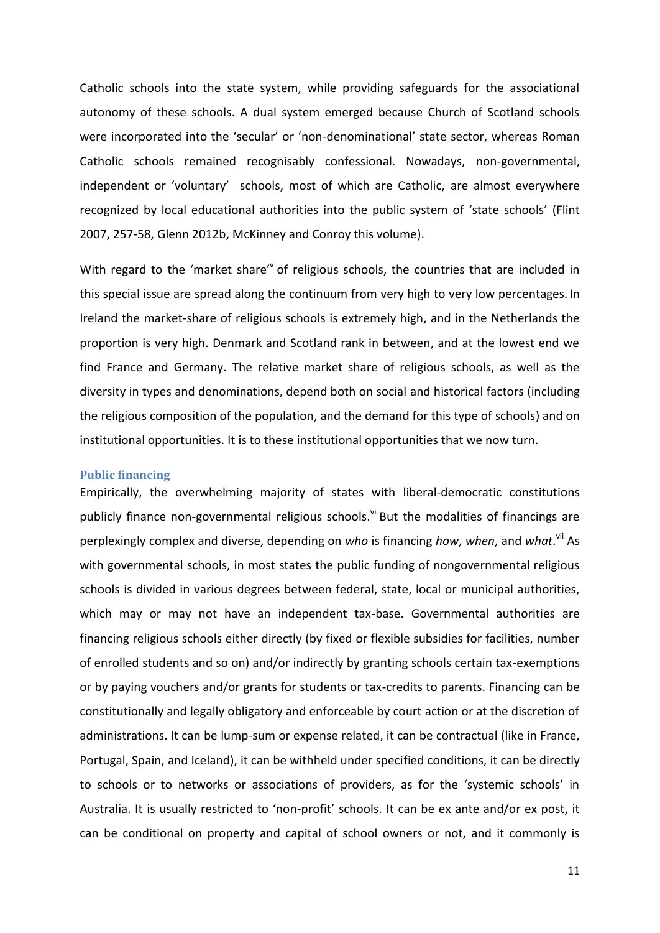Catholic schools into the state system, while providing safeguards for the associational autonomy of these schools. A dual system emerged because Church of Scotland schools were incorporated into the 'secular' or 'non-denominational' state sector, whereas Roman Catholic schools remained recognisably confessional. Nowadays, non-governmental, independent or 'voluntary' schools, most of which are Catholic, are almost everywhere recognized by local educational authorities into the public system of 'state schools' (Flint 2007, 257-58, Glenn 2012b, McKinney and Conroy this volume).

With regard to the 'market share'<sup>v</sup> of religious schools, the countries that are included in this special issue are spread along the continuum from very high to very low percentages. In Ireland the market-share of religious schools is extremely high, and in the Netherlands the proportion is very high. Denmark and Scotland rank in between, and at the lowest end we find France and Germany. The relative market share of religious schools, as well as the diversity in types and denominations, depend both on social and historical factors (including the religious composition of the population, and the demand for this type of schools) and on institutional opportunities. It is to these institutional opportunities that we now turn.

#### **Public financing**

Empirically, the overwhelming majority of states with liberal-democratic constitutions publicly finance non-governmental religious schools.<sup>vi</sup> But the modalities of financings are perplexingly complex and diverse, depending on *who* is financing *how*, *when*, and *what*. vii As with governmental schools, in most states the public funding of nongovernmental religious schools is divided in various degrees between federal, state, local or municipal authorities, which may or may not have an independent tax-base. Governmental authorities are financing religious schools either directly (by fixed or flexible subsidies for facilities, number of enrolled students and so on) and/or indirectly by granting schools certain tax-exemptions or by paying vouchers and/or grants for students or tax-credits to parents. Financing can be constitutionally and legally obligatory and enforceable by court action or at the discretion of administrations. It can be lump-sum or expense related, it can be contractual (like in France, Portugal, Spain, and Iceland), it can be withheld under specified conditions, it can be directly to schools or to networks or associations of providers, as for the 'systemic schools' in Australia. It is usually restricted to 'non-profit' schools. It can be ex ante and/or ex post, it can be conditional on property and capital of school owners or not, and it commonly is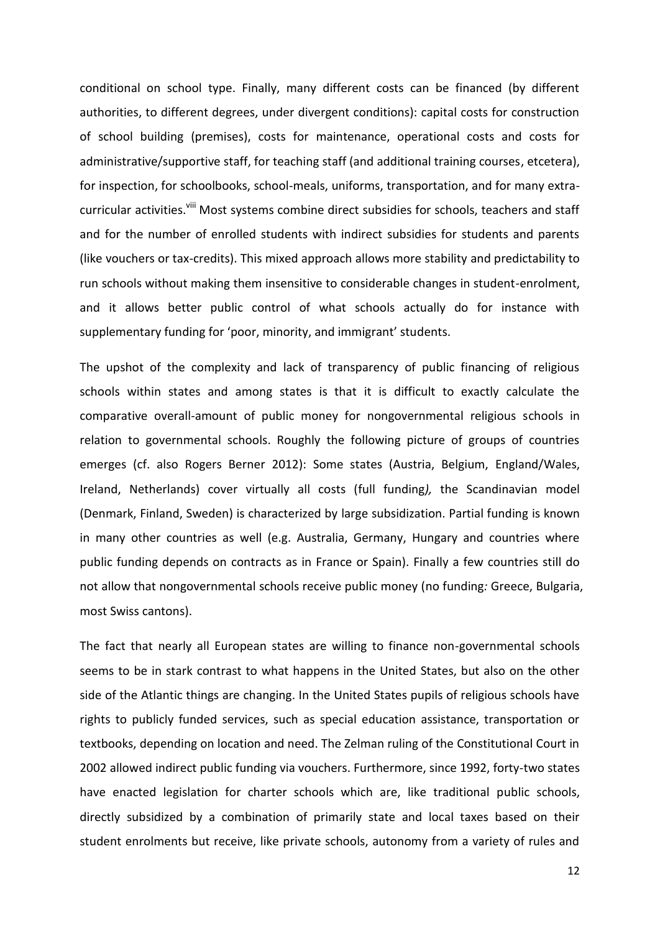conditional on school type. Finally, many different costs can be financed (by different authorities, to different degrees, under divergent conditions): capital costs for construction of school building (premises), costs for maintenance, operational costs and costs for administrative/supportive staff, for teaching staff (and additional training courses, etcetera), for inspection, for schoolbooks, school-meals, uniforms, transportation, and for many extracurricular activities.<sup>viii</sup> Most systems combine direct subsidies for schools, teachers and staff and for the number of enrolled students with indirect subsidies for students and parents (like vouchers or tax-credits). This mixed approach allows more stability and predictability to run schools without making them insensitive to considerable changes in student-enrolment, and it allows better public control of what schools actually do for instance with supplementary funding for 'poor, minority, and immigrant' students.

The upshot of the complexity and lack of transparency of public financing of religious schools within states and among states is that it is difficult to exactly calculate the comparative overall-amount of public money for nongovernmental religious schools in relation to governmental schools. Roughly the following picture of groups of countries emerges (cf. also Rogers Berner 2012): Some states (Austria, Belgium, England/Wales, Ireland, Netherlands) cover virtually all costs (full funding*),* the Scandinavian model (Denmark, Finland, Sweden) is characterized by large subsidization. Partial funding is known in many other countries as well (e.g. Australia, Germany, Hungary and countries where public funding depends on contracts as in France or Spain). Finally a few countries still do not allow that nongovernmental schools receive public money (no funding*:* Greece, Bulgaria, most Swiss cantons).

The fact that nearly all European states are willing to finance non-governmental schools seems to be in stark contrast to what happens in the United States, but also on the other side of the Atlantic things are changing. In the United States pupils of religious schools have rights to publicly funded services, such as special education assistance, transportation or textbooks, depending on location and need. The Zelman ruling of the Constitutional Court in 2002 allowed indirect public funding via vouchers. Furthermore, since 1992, forty-two states have enacted legislation for charter schools which are, like traditional public schools, directly subsidized by a combination of primarily state and local taxes based on their student enrolments but receive, like private schools, autonomy from a variety of rules and

12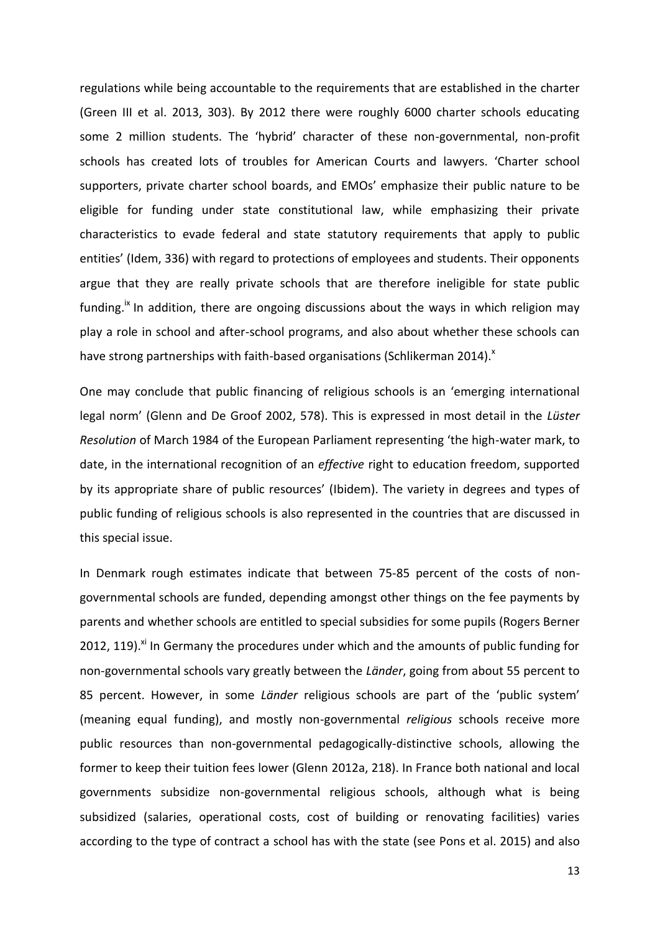regulations while being accountable to the requirements that are established in the charter (Green III et al. 2013, 303). By 2012 there were roughly 6000 charter schools educating some 2 million students. The 'hybrid' character of these non-governmental, non-profit schools has created lots of troubles for American Courts and lawyers. 'Charter school supporters, private charter school boards, and EMOs' emphasize their public nature to be eligible for funding under state constitutional law, while emphasizing their private characteristics to evade federal and state statutory requirements that apply to public entities' (Idem, 336) with regard to protections of employees and students. Their opponents argue that they are really private schools that are therefore ineligible for state public funding.<sup>ix</sup> In addition, there are ongoing discussions about the ways in which religion may play a role in school and after-school programs, and also about whether these schools can have strong partnerships with faith-based organisations (Schlikerman 2014).<sup>x</sup>

One may conclude that public financing of religious schools is an 'emerging international legal norm' (Glenn and De Groof 2002, 578). This is expressed in most detail in the *Lüster Resolution* of March 1984 of the European Parliament representing 'the high-water mark, to date, in the international recognition of an *effective* right to education freedom, supported by its appropriate share of public resources' (Ibidem). The variety in degrees and types of public funding of religious schools is also represented in the countries that are discussed in this special issue.

In Denmark rough estimates indicate that between 75-85 percent of the costs of nongovernmental schools are funded, depending amongst other things on the fee payments by parents and whether schools are entitled to special subsidies for some pupils (Rogers Berner 2012, 119).<sup>xi</sup> In Germany the procedures under which and the amounts of public funding for non-governmental schools vary greatly between the *Länder*, going from about 55 percent to 85 percent. However, in some *Länder* religious schools are part of the 'public system' (meaning equal funding), and mostly non-governmental *religious* schools receive more public resources than non-governmental pedagogically-distinctive schools, allowing the former to keep their tuition fees lower (Glenn 2012a, 218). In France both national and local governments subsidize non-governmental religious schools, although what is being subsidized (salaries, operational costs, cost of building or renovating facilities) varies according to the type of contract a school has with the state (see Pons et al. 2015) and also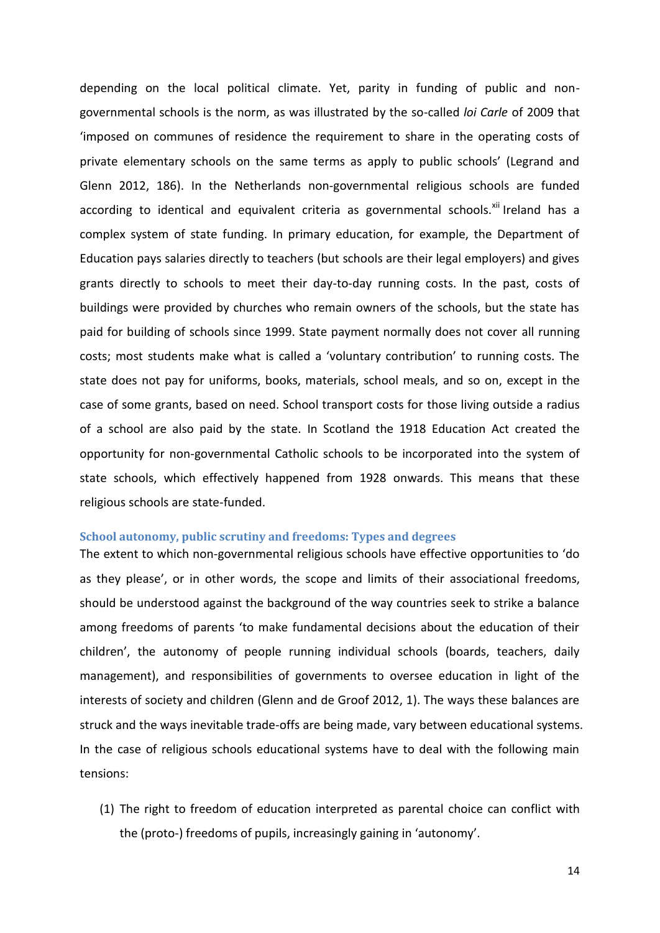depending on the local political climate. Yet, parity in funding of public and nongovernmental schools is the norm, as was illustrated by the so-called *loi Carle* of 2009 that 'imposed on communes of residence the requirement to share in the operating costs of private elementary schools on the same terms as apply to public schools' (Legrand and Glenn 2012, 186). In the Netherlands non-governmental religious schools are funded according to identical and equivalent criteria as governmental schools.<sup>xii</sup> Ireland has a complex system of state funding. In primary education, for example, the Department of Education pays salaries directly to teachers (but schools are their legal employers) and gives grants directly to schools to meet their day-to-day running costs. In the past, costs of buildings were provided by churches who remain owners of the schools, but the state has paid for building of schools since 1999. State payment normally does not cover all running costs; most students make what is called a 'voluntary contribution' to running costs. The state does not pay for uniforms, books, materials, school meals, and so on, except in the case of some grants, based on need. School transport costs for those living outside a radius of a school are also paid by the state. In Scotland the 1918 Education Act created the opportunity for non-governmental Catholic schools to be incorporated into the system of state schools, which effectively happened from 1928 onwards. This means that these religious schools are state-funded.

#### **School autonomy, public scrutiny and freedoms: Types and degrees**

The extent to which non-governmental religious schools have effective opportunities to 'do as they please', or in other words, the scope and limits of their associational freedoms, should be understood against the background of the way countries seek to strike a balance among freedoms of parents 'to make fundamental decisions about the education of their children', the autonomy of people running individual schools (boards, teachers, daily management), and responsibilities of governments to oversee education in light of the interests of society and children (Glenn and de Groof 2012, 1). The ways these balances are struck and the ways inevitable trade-offs are being made, vary between educational systems. In the case of religious schools educational systems have to deal with the following main tensions:

(1) The right to freedom of education interpreted as parental choice can conflict with the (proto-) freedoms of pupils, increasingly gaining in 'autonomy'.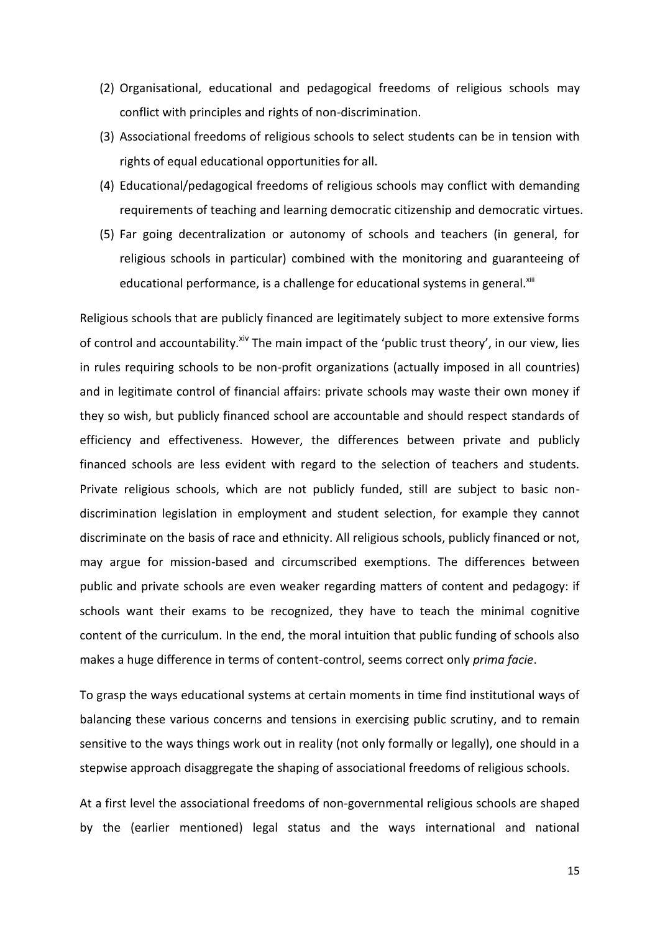- (2) Organisational, educational and pedagogical freedoms of religious schools may conflict with principles and rights of non-discrimination.
- (3) Associational freedoms of religious schools to select students can be in tension with rights of equal educational opportunities for all.
- (4) Educational/pedagogical freedoms of religious schools may conflict with demanding requirements of teaching and learning democratic citizenship and democratic virtues.
- (5) Far going decentralization or autonomy of schools and teachers (in general, for religious schools in particular) combined with the monitoring and guaranteeing of educational performance, is a challenge for educational systems in general.<sup>xiii</sup>

Religious schools that are publicly financed are legitimately subject to more extensive forms of control and accountability.<sup>xiv</sup> The main impact of the 'public trust theory', in our view, lies in rules requiring schools to be non-profit organizations (actually imposed in all countries) and in legitimate control of financial affairs: private schools may waste their own money if they so wish, but publicly financed school are accountable and should respect standards of efficiency and effectiveness. However, the differences between private and publicly financed schools are less evident with regard to the selection of teachers and students. Private religious schools, which are not publicly funded, still are subject to basic nondiscrimination legislation in employment and student selection, for example they cannot discriminate on the basis of race and ethnicity. All religious schools, publicly financed or not, may argue for mission-based and circumscribed exemptions. The differences between public and private schools are even weaker regarding matters of content and pedagogy: if schools want their exams to be recognized, they have to teach the minimal cognitive content of the curriculum. In the end, the moral intuition that public funding of schools also makes a huge difference in terms of content-control, seems correct only *prima facie*.

To grasp the ways educational systems at certain moments in time find institutional ways of balancing these various concerns and tensions in exercising public scrutiny, and to remain sensitive to the ways things work out in reality (not only formally or legally), one should in a stepwise approach disaggregate the shaping of associational freedoms of religious schools.

At a first level the associational freedoms of non-governmental religious schools are shaped by the (earlier mentioned) legal status and the ways international and national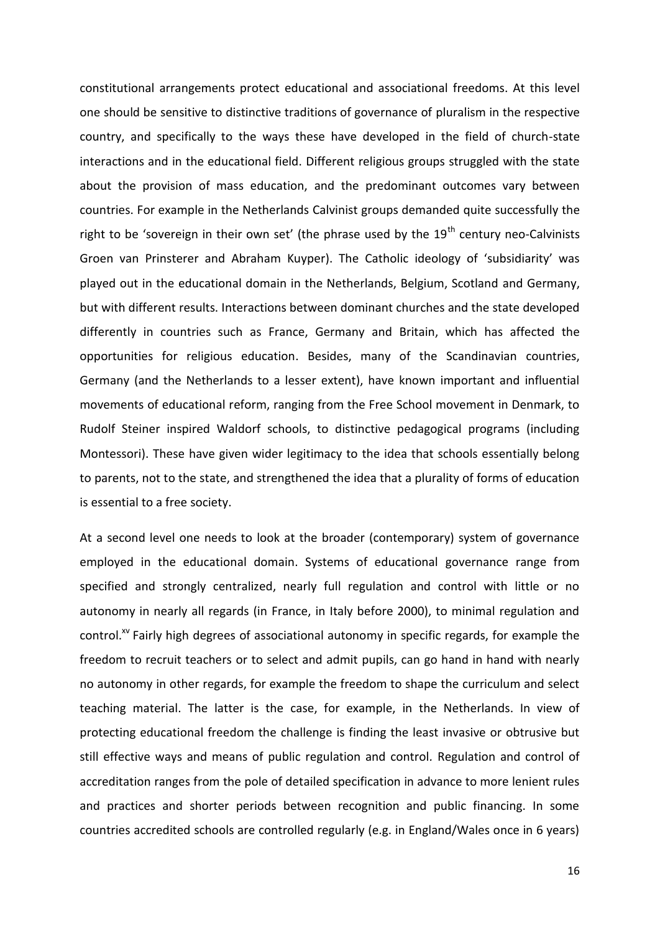constitutional arrangements protect educational and associational freedoms. At this level one should be sensitive to distinctive traditions of governance of pluralism in the respective country, and specifically to the ways these have developed in the field of church-state interactions and in the educational field. Different religious groups struggled with the state about the provision of mass education, and the predominant outcomes vary between countries. For example in the Netherlands Calvinist groups demanded quite successfully the right to be 'sovereign in their own set' (the phrase used by the  $19<sup>th</sup>$  century neo-Calvinists Groen van Prinsterer and Abraham Kuyper). The Catholic ideology of 'subsidiarity' was played out in the educational domain in the Netherlands, Belgium, Scotland and Germany, but with different results. Interactions between dominant churches and the state developed differently in countries such as France, Germany and Britain, which has affected the opportunities for religious education. Besides, many of the Scandinavian countries, Germany (and the Netherlands to a lesser extent), have known important and influential movements of educational reform, ranging from the Free School movement in Denmark, to Rudolf Steiner inspired Waldorf schools, to distinctive pedagogical programs (including Montessori). These have given wider legitimacy to the idea that schools essentially belong to parents, not to the state, and strengthened the idea that a plurality of forms of education is essential to a free society.

At a second level one needs to look at the broader (contemporary) system of governance employed in the educational domain. Systems of educational governance range from specified and strongly centralized, nearly full regulation and control with little or no autonomy in nearly all regards (in France, in Italy before 2000), to minimal regulation and control.<sup>xv</sup> Fairly high degrees of associational autonomy in specific regards, for example the freedom to recruit teachers or to select and admit pupils, can go hand in hand with nearly no autonomy in other regards, for example the freedom to shape the curriculum and select teaching material. The latter is the case, for example, in the Netherlands. In view of protecting educational freedom the challenge is finding the least invasive or obtrusive but still effective ways and means of public regulation and control*.* Regulation and control of accreditation ranges from the pole of detailed specification in advance to more lenient rules and practices and shorter periods between recognition and public financing. In some countries accredited schools are controlled regularly (e.g. in England/Wales once in 6 years)

16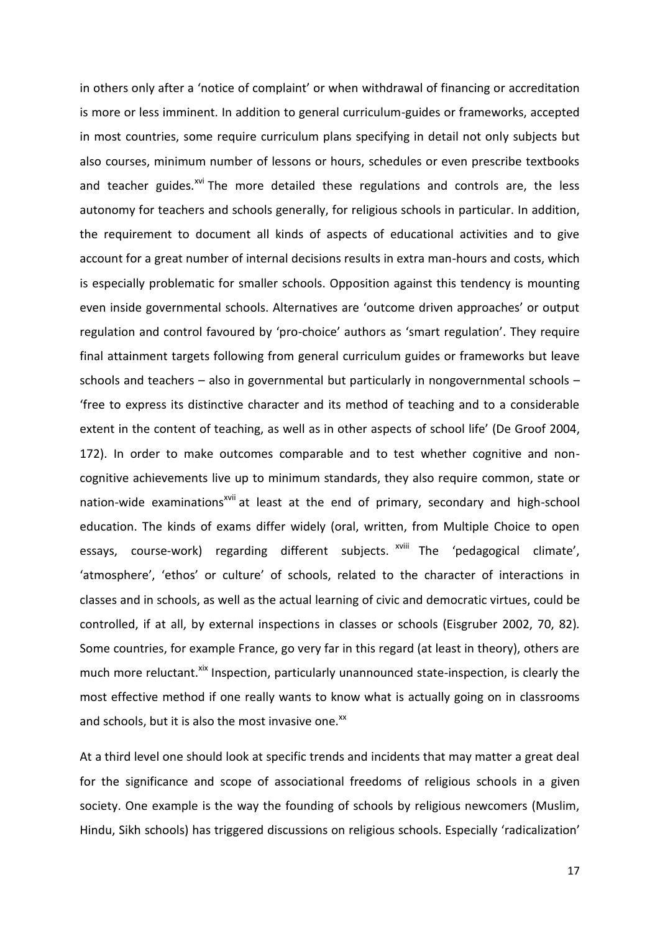in others only after a 'notice of complaint' or when withdrawal of financing or accreditation is more or less imminent. In addition to general curriculum-guides or frameworks, accepted in most countries, some require curriculum plans specifying in detail not only subjects but also courses, minimum number of lessons or hours, schedules or even prescribe textbooks and teacher guides. $^{xvi}$  The more detailed these regulations and controls are, the less autonomy for teachers and schools generally, for religious schools in particular. In addition, the requirement to document all kinds of aspects of educational activities and to give account for a great number of internal decisions results in extra man-hours and costs, which is especially problematic for smaller schools. Opposition against this tendency is mounting even inside governmental schools. Alternatives are 'outcome driven approaches' or output regulation and control favoured by 'pro-choice' authors as 'smart regulation'. They require final attainment targets following from general curriculum guides or frameworks but leave schools and teachers – also in governmental but particularly in nongovernmental schools – 'free to express its distinctive character and its method of teaching and to a considerable extent in the content of teaching, as well as in other aspects of school life' (De Groof 2004, 172). In order to make outcomes comparable and to test whether cognitive and noncognitive achievements live up to minimum standards, they also require common, state or nation-wide examinations<sup>xvii</sup> at least at the end of primary, secondary and high-school education. The kinds of exams differ widely (oral, written, from Multiple Choice to open essays, course-work) regarding different subjects. <sup>xviii</sup> The 'pedagogical climate', 'atmosphere', 'ethos' or culture' of schools, related to the character of interactions in classes and in schools, as well as the actual learning of civic and democratic virtues, could be controlled, if at all, by external inspections in classes or schools (Eisgruber 2002, 70, 82)*.*  Some countries, for example France, go very far in this regard (at least in theory), others are much more reluctant.<sup>xix</sup> Inspection, particularly unannounced state-inspection, is clearly the most effective method if one really wants to know what is actually going on in classrooms and schools, but it is also the most invasive one.<sup>xx</sup>

At a third level one should look at specific trends and incidents that may matter a great deal for the significance and scope of associational freedoms of religious schools in a given society. One example is the way the founding of schools by religious newcomers (Muslim, Hindu, Sikh schools) has triggered discussions on religious schools. Especially 'radicalization'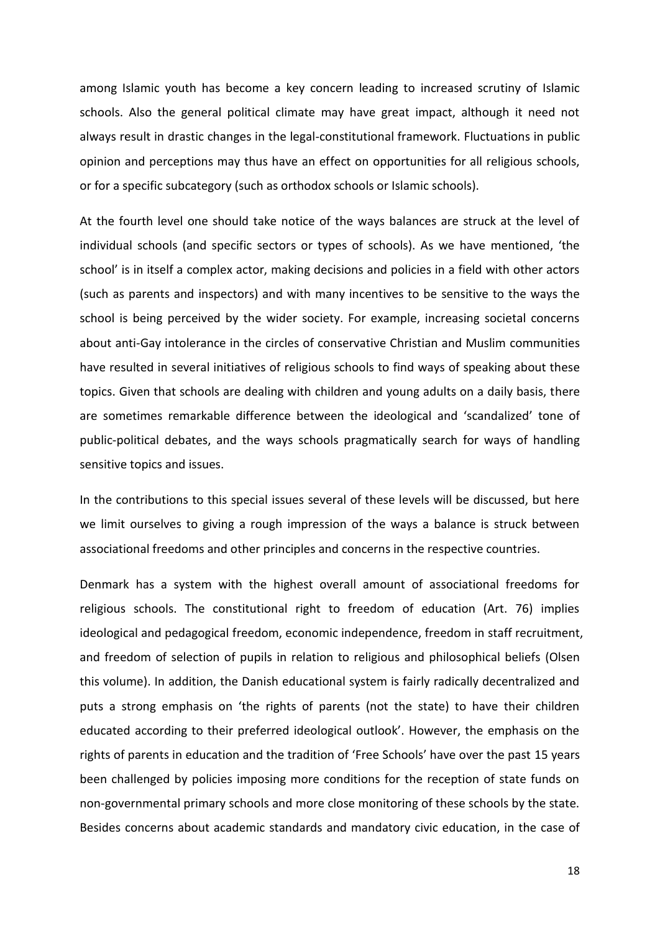among Islamic youth has become a key concern leading to increased scrutiny of Islamic schools. Also the general political climate may have great impact, although it need not always result in drastic changes in the legal-constitutional framework. Fluctuations in public opinion and perceptions may thus have an effect on opportunities for all religious schools, or for a specific subcategory (such as orthodox schools or Islamic schools).

At the fourth level one should take notice of the ways balances are struck at the level of individual schools (and specific sectors or types of schools). As we have mentioned, 'the school' is in itself a complex actor, making decisions and policies in a field with other actors (such as parents and inspectors) and with many incentives to be sensitive to the ways the school is being perceived by the wider society. For example, increasing societal concerns about anti-Gay intolerance in the circles of conservative Christian and Muslim communities have resulted in several initiatives of religious schools to find ways of speaking about these topics. Given that schools are dealing with children and young adults on a daily basis, there are sometimes remarkable difference between the ideological and 'scandalized' tone of public-political debates, and the ways schools pragmatically search for ways of handling sensitive topics and issues.

In the contributions to this special issues several of these levels will be discussed, but here we limit ourselves to giving a rough impression of the ways a balance is struck between associational freedoms and other principles and concerns in the respective countries.

Denmark has a system with the highest overall amount of associational freedoms for religious schools. The constitutional right to freedom of education (Art. 76) implies ideological and pedagogical freedom, economic independence, freedom in staff recruitment, and freedom of selection of pupils in relation to religious and philosophical beliefs (Olsen this volume). In addition, the Danish educational system is fairly radically decentralized and puts a strong emphasis on 'the rights of parents (not the state) to have their children educated according to their preferred ideological outlook'. However, the emphasis on the rights of parents in education and the tradition of 'Free Schools' have over the past 15 years been challenged by policies imposing more conditions for the reception of state funds on non-governmental primary schools and more close monitoring of these schools by the state. Besides concerns about academic standards and mandatory civic education, in the case of

18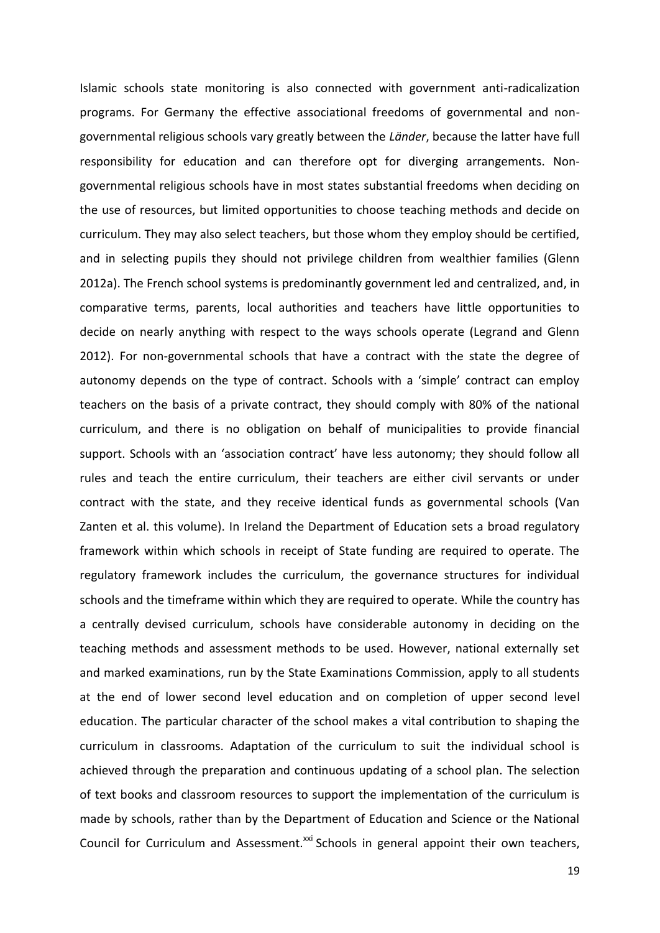Islamic schools state monitoring is also connected with government anti-radicalization programs. For Germany the effective associational freedoms of governmental and nongovernmental religious schools vary greatly between the *Länder*, because the latter have full responsibility for education and can therefore opt for diverging arrangements. Nongovernmental religious schools have in most states substantial freedoms when deciding on the use of resources, but limited opportunities to choose teaching methods and decide on curriculum. They may also select teachers, but those whom they employ should be certified, and in selecting pupils they should not privilege children from wealthier families (Glenn 2012a). The French school systems is predominantly government led and centralized, and, in comparative terms, parents, local authorities and teachers have little opportunities to decide on nearly anything with respect to the ways schools operate (Legrand and Glenn 2012). For non-governmental schools that have a contract with the state the degree of autonomy depends on the type of contract. Schools with a 'simple' contract can employ teachers on the basis of a private contract, they should comply with 80% of the national curriculum, and there is no obligation on behalf of municipalities to provide financial support. Schools with an 'association contract' have less autonomy; they should follow all rules and teach the entire curriculum, their teachers are either civil servants or under contract with the state, and they receive identical funds as governmental schools (Van Zanten et al. this volume). In Ireland the Department of Education sets a broad regulatory framework within which schools in receipt of State funding are required to operate. The regulatory framework includes the curriculum, the governance structures for individual schools and the timeframe within which they are required to operate. While the country has a centrally devised curriculum, schools have considerable autonomy in deciding on the teaching methods and assessment methods to be used. However, national externally set and marked examinations, run by the State Examinations Commission, apply to all students at the end of lower second level education and on completion of upper second level education. The particular character of the school makes a vital contribution to shaping the curriculum in classrooms. Adaptation of the curriculum to suit the individual school is achieved through the preparation and continuous updating of a school plan. The selection of text books and classroom resources to support the implementation of the curriculum is made by schools, rather than by the Department of Education and Science or the National Council for Curriculum and Assessment.<sup>xxi</sup> Schools in general appoint their own teachers,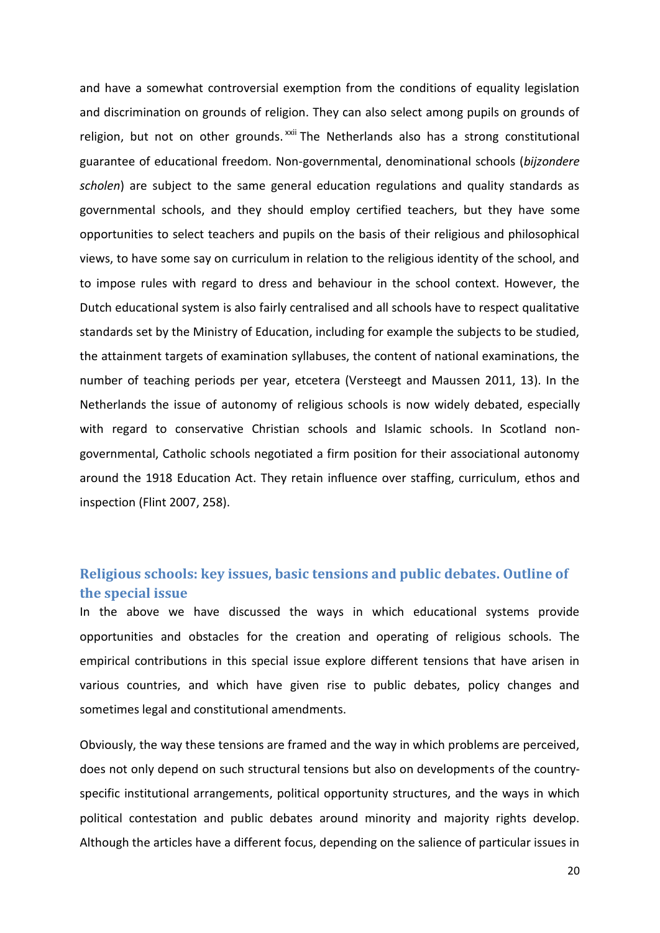and have a somewhat controversial exemption from the conditions of equality legislation and discrimination on grounds of religion. They can also select among pupils on grounds of religion, but not on other grounds.<sup>xxii</sup> The Netherlands also has a strong constitutional guarantee of educational freedom. Non-governmental, denominational schools (*bijzondere scholen*) are subject to the same general education regulations and quality standards as governmental schools, and they should employ certified teachers, but they have some opportunities to select teachers and pupils on the basis of their religious and philosophical views, to have some say on curriculum in relation to the religious identity of the school, and to impose rules with regard to dress and behaviour in the school context. However, the Dutch educational system is also fairly centralised and all schools have to respect qualitative standards set by the Ministry of Education, including for example the subjects to be studied, the attainment targets of examination syllabuses, the content of national examinations, the number of teaching periods per year, etcetera (Versteegt and Maussen 2011, 13). In the Netherlands the issue of autonomy of religious schools is now widely debated, especially with regard to conservative Christian schools and Islamic schools. In Scotland nongovernmental, Catholic schools negotiated a firm position for their associational autonomy around the 1918 Education Act. They retain influence over staffing, curriculum, ethos and inspection (Flint 2007, 258).

# **Religious schools: key issues, basic tensions and public debates. Outline of the special issue**

In the above we have discussed the ways in which educational systems provide opportunities and obstacles for the creation and operating of religious schools. The empirical contributions in this special issue explore different tensions that have arisen in various countries, and which have given rise to public debates, policy changes and sometimes legal and constitutional amendments.

Obviously, the way these tensions are framed and the way in which problems are perceived, does not only depend on such structural tensions but also on developments of the countryspecific institutional arrangements, political opportunity structures, and the ways in which political contestation and public debates around minority and majority rights develop. Although the articles have a different focus, depending on the salience of particular issues in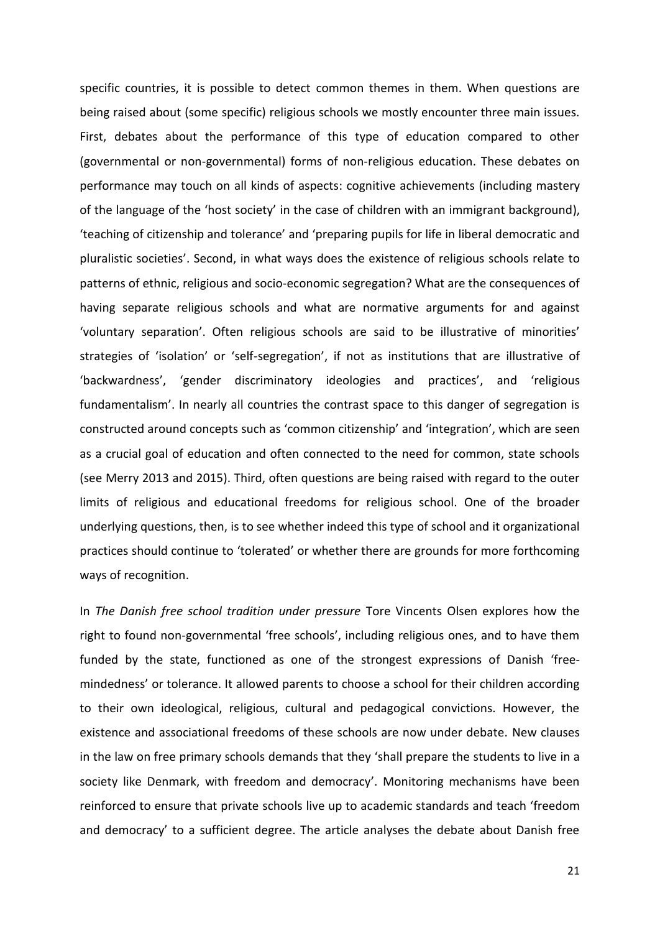specific countries, it is possible to detect common themes in them. When questions are being raised about (some specific) religious schools we mostly encounter three main issues. First, debates about the performance of this type of education compared to other (governmental or non-governmental) forms of non-religious education. These debates on performance may touch on all kinds of aspects: cognitive achievements (including mastery of the language of the 'host society' in the case of children with an immigrant background), 'teaching of citizenship and tolerance' and 'preparing pupils for life in liberal democratic and pluralistic societies'. Second, in what ways does the existence of religious schools relate to patterns of ethnic, religious and socio-economic segregation? What are the consequences of having separate religious schools and what are normative arguments for and against 'voluntary separation'. Often religious schools are said to be illustrative of minorities' strategies of 'isolation' or 'self-segregation', if not as institutions that are illustrative of 'backwardness', 'gender discriminatory ideologies and practices', and 'religious fundamentalism'. In nearly all countries the contrast space to this danger of segregation is constructed around concepts such as 'common citizenship' and 'integration', which are seen as a crucial goal of education and often connected to the need for common, state schools (see Merry 2013 and 2015). Third, often questions are being raised with regard to the outer limits of religious and educational freedoms for religious school. One of the broader underlying questions, then, is to see whether indeed this type of school and it organizational practices should continue to 'tolerated' or whether there are grounds for more forthcoming ways of recognition.

In *The Danish free school tradition under pressure* Tore Vincents Olsen explores how the right to found non-governmental 'free schools', including religious ones, and to have them funded by the state, functioned as one of the strongest expressions of Danish 'freemindedness' or tolerance. It allowed parents to choose a school for their children according to their own ideological, religious, cultural and pedagogical convictions. However, the existence and associational freedoms of these schools are now under debate. New clauses in the law on free primary schools demands that they 'shall prepare the students to live in a society like Denmark, with freedom and democracy'. Monitoring mechanisms have been reinforced to ensure that private schools live up to academic standards and teach 'freedom and democracy' to a sufficient degree. The article analyses the debate about Danish free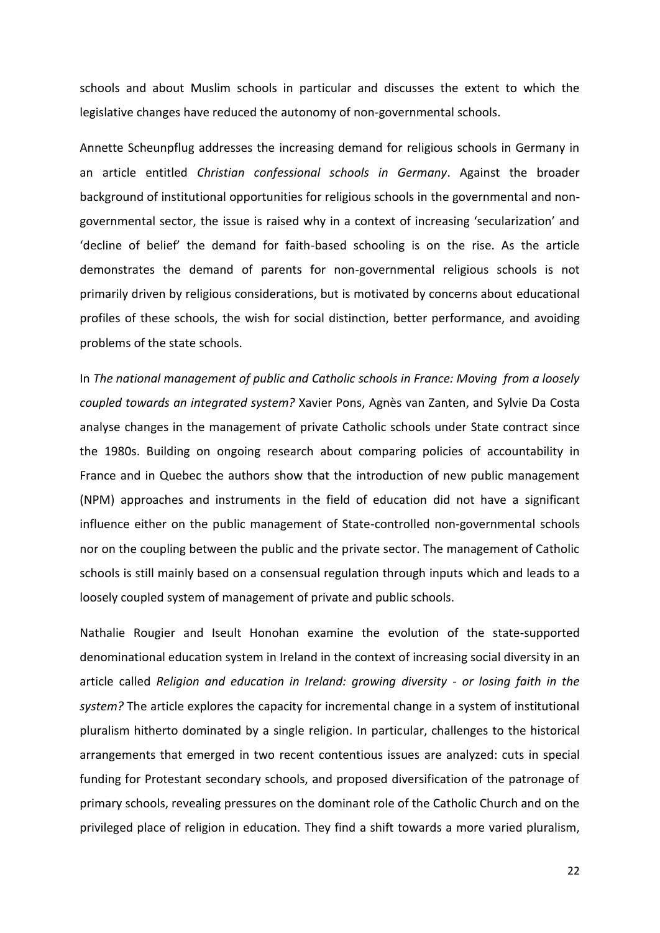schools and about Muslim schools in particular and discusses the extent to which the legislative changes have reduced the autonomy of non-governmental schools.

Annette Scheunpflug addresses the increasing demand for religious schools in Germany in an article entitled *Christian confessional schools in Germany*. Against the broader background of institutional opportunities for religious schools in the governmental and nongovernmental sector, the issue is raised why in a context of increasing 'secularization' and 'decline of belief' the demand for faith-based schooling is on the rise. As the article demonstrates the demand of parents for non-governmental religious schools is not primarily driven by religious considerations, but is motivated by concerns about educational profiles of these schools, the wish for social distinction, better performance, and avoiding problems of the state schools.

In *The national management of public and Catholic schools in France: Moving from a loosely coupled towards an integrated system?* Xavier Pons, Agnès van Zanten, and Sylvie Da Costa analyse changes in the management of private Catholic schools under State contract since the 1980s. Building on ongoing research about comparing policies of accountability in France and in Quebec the authors show that the introduction of new public management (NPM) approaches and instruments in the field of education did not have a significant influence either on the public management of State-controlled non-governmental schools nor on the coupling between the public and the private sector. The management of Catholic schools is still mainly based on a consensual regulation through inputs which and leads to a loosely coupled system of management of private and public schools.

Nathalie Rougier and Iseult Honohan examine the evolution of the state-supported denominational education system in Ireland in the context of increasing social diversity in an article called *Religion and education in Ireland: growing diversity - or losing faith in the system?* The article explores the capacity for incremental change in a system of institutional pluralism hitherto dominated by a single religion. In particular, challenges to the historical arrangements that emerged in two recent contentious issues are analyzed: cuts in special funding for Protestant secondary schools, and proposed diversification of the patronage of primary schools, revealing pressures on the dominant role of the Catholic Church and on the privileged place of religion in education. They find a shift towards a more varied pluralism,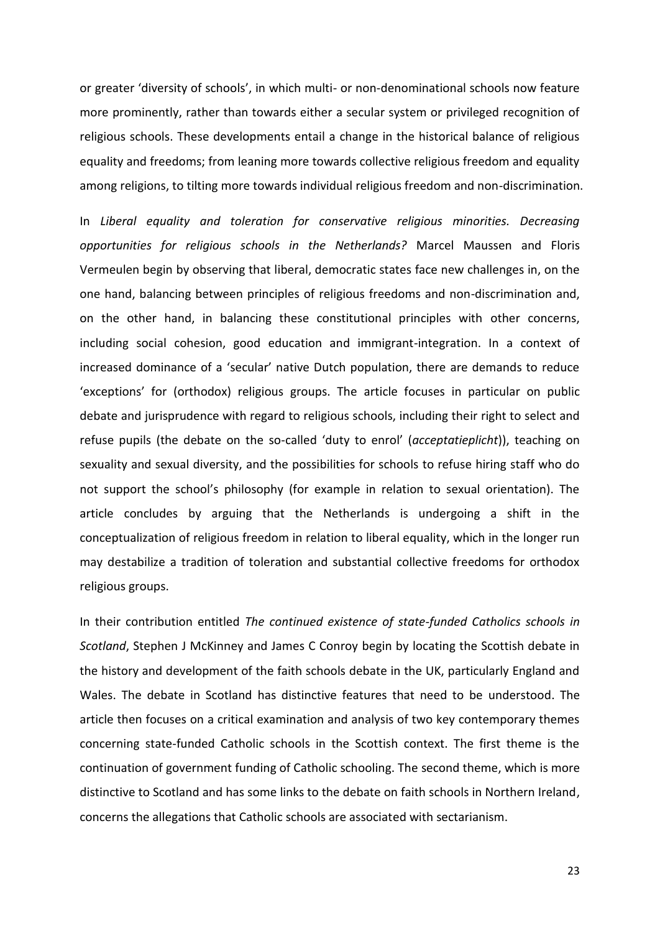or greater 'diversity of schools', in which multi- or non-denominational schools now feature more prominently, rather than towards either a secular system or privileged recognition of religious schools. These developments entail a change in the historical balance of religious equality and freedoms; from leaning more towards collective religious freedom and equality among religions, to tilting more towards individual religious freedom and non-discrimination.

In *Liberal equality and toleration for conservative religious minorities. Decreasing opportunities for religious schools in the Netherlands?* Marcel Maussen and Floris Vermeulen begin by observing that liberal, democratic states face new challenges in, on the one hand, balancing between principles of religious freedoms and non-discrimination and, on the other hand, in balancing these constitutional principles with other concerns, including social cohesion, good education and immigrant-integration. In a context of increased dominance of a 'secular' native Dutch population, there are demands to reduce 'exceptions' for (orthodox) religious groups. The article focuses in particular on public debate and jurisprudence with regard to religious schools, including their right to select and refuse pupils (the debate on the so-called 'duty to enrol' (*acceptatieplicht*)), teaching on sexuality and sexual diversity, and the possibilities for schools to refuse hiring staff who do not support the school's philosophy (for example in relation to sexual orientation). The article concludes by arguing that the Netherlands is undergoing a shift in the conceptualization of religious freedom in relation to liberal equality, which in the longer run may destabilize a tradition of toleration and substantial collective freedoms for orthodox religious groups.

In their contribution entitled *The continued existence of state-funded Catholics schools in Scotland*, Stephen J McKinney and James C Conroy begin by locating the Scottish debate in the history and development of the faith schools debate in the UK, particularly England and Wales. The debate in Scotland has distinctive features that need to be understood. The article then focuses on a critical examination and analysis of two key contemporary themes concerning state-funded Catholic schools in the Scottish context. The first theme is the continuation of government funding of Catholic schooling. The second theme, which is more distinctive to Scotland and has some links to the debate on faith schools in Northern Ireland, concerns the allegations that Catholic schools are associated with sectarianism.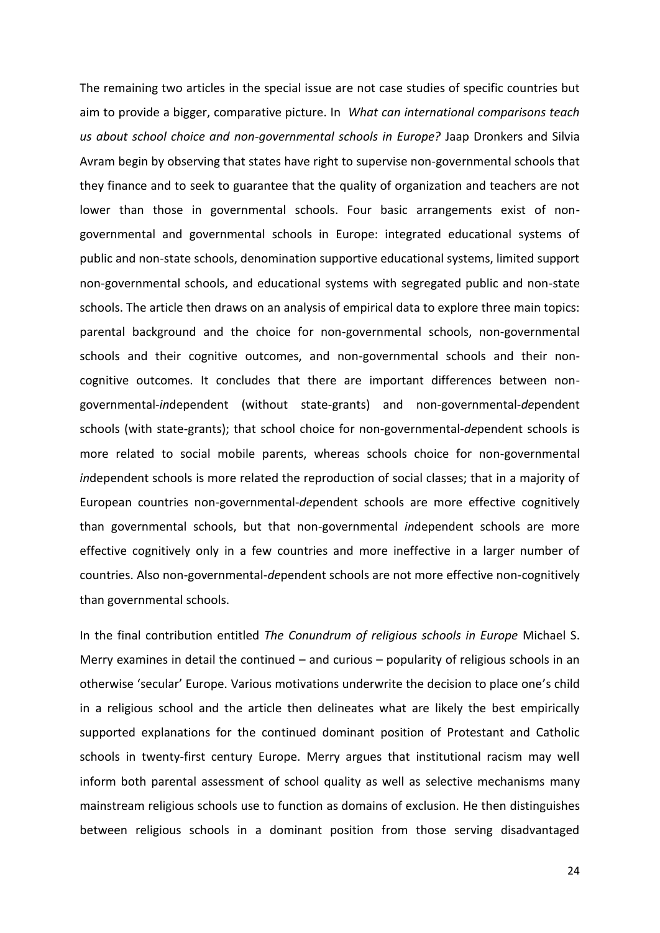The remaining two articles in the special issue are not case studies of specific countries but aim to provide a bigger, comparative picture. In *What can international comparisons teach us about school choice and non-governmental schools in Europe?* Jaap Dronkers and Silvia Avram begin by observing that states have right to supervise non-governmental schools that they finance and to seek to guarantee that the quality of organization and teachers are not lower than those in governmental schools. Four basic arrangements exist of nongovernmental and governmental schools in Europe: integrated educational systems of public and non-state schools, denomination supportive educational systems, limited support non-governmental schools, and educational systems with segregated public and non-state schools. The article then draws on an analysis of empirical data to explore three main topics: parental background and the choice for non-governmental schools, non-governmental schools and their cognitive outcomes, and non-governmental schools and their noncognitive outcomes. It concludes that there are important differences between nongovernmental-*in*dependent (without state-grants) and non-governmental-*de*pendent schools (with state-grants); that school choice for non-governmental-*de*pendent schools is more related to social mobile parents, whereas schools choice for non-governmental *in*dependent schools is more related the reproduction of social classes; that in a majority of European countries non-governmental-*de*pendent schools are more effective cognitively than governmental schools, but that non-governmental *in*dependent schools are more effective cognitively only in a few countries and more ineffective in a larger number of countries. Also non-governmental-*de*pendent schools are not more effective non-cognitively than governmental schools.

In the final contribution entitled *The Conundrum of religious schools in Europe* Michael S. Merry examines in detail the continued – and curious – popularity of religious schools in an otherwise 'secular' Europe. Various motivations underwrite the decision to place one's child in a religious school and the article then delineates what are likely the best empirically supported explanations for the continued dominant position of Protestant and Catholic schools in twenty-first century Europe. Merry argues that institutional racism may well inform both parental assessment of school quality as well as selective mechanisms many mainstream religious schools use to function as domains of exclusion. He then distinguishes between religious schools in a dominant position from those serving disadvantaged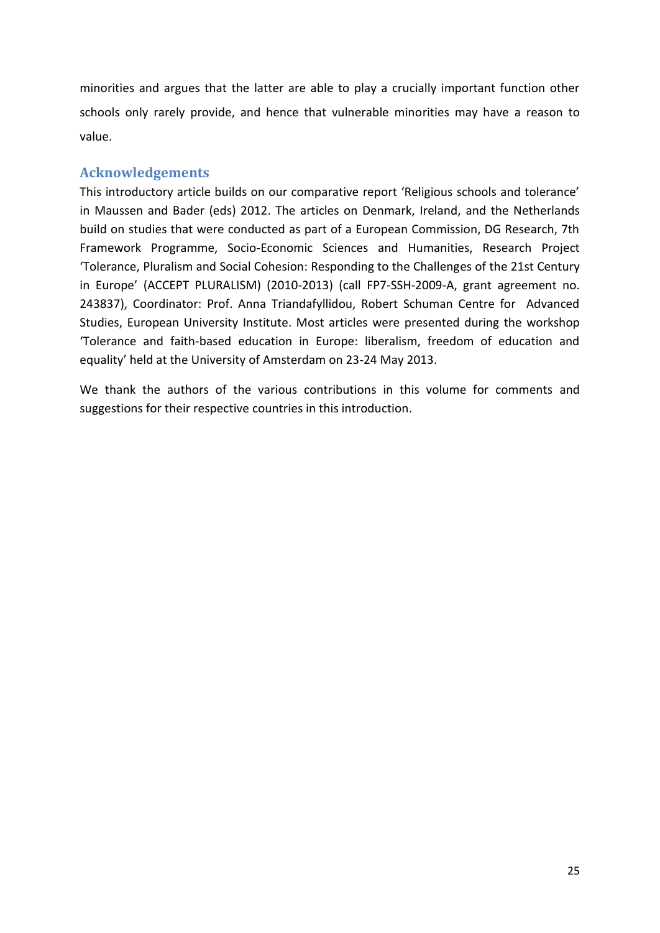minorities and argues that the latter are able to play a crucially important function other schools only rarely provide, and hence that vulnerable minorities may have a reason to value.

# **Acknowledgements**

This introductory article builds on our comparative report 'Religious schools and tolerance' in Maussen and Bader (eds) 2012. The articles on Denmark, Ireland, and the Netherlands build on studies that were conducted as part of a European Commission, DG Research, 7th Framework Programme, Socio-Economic Sciences and Humanities, Research Project 'Tolerance, Pluralism and Social Cohesion: Responding to the Challenges of the 21st Century in Europe' (ACCEPT PLURALISM) (2010-2013) (call FP7-SSH-2009-A, grant agreement no. 243837), Coordinator: Prof. Anna Triandafyllidou, Robert Schuman Centre for Advanced Studies, European University Institute. Most articles were presented during the workshop 'Tolerance and faith-based education in Europe: liberalism, freedom of education and equality' held at the University of Amsterdam on 23-24 May 2013.

We thank the authors of the various contributions in this volume for comments and suggestions for their respective countries in this introduction.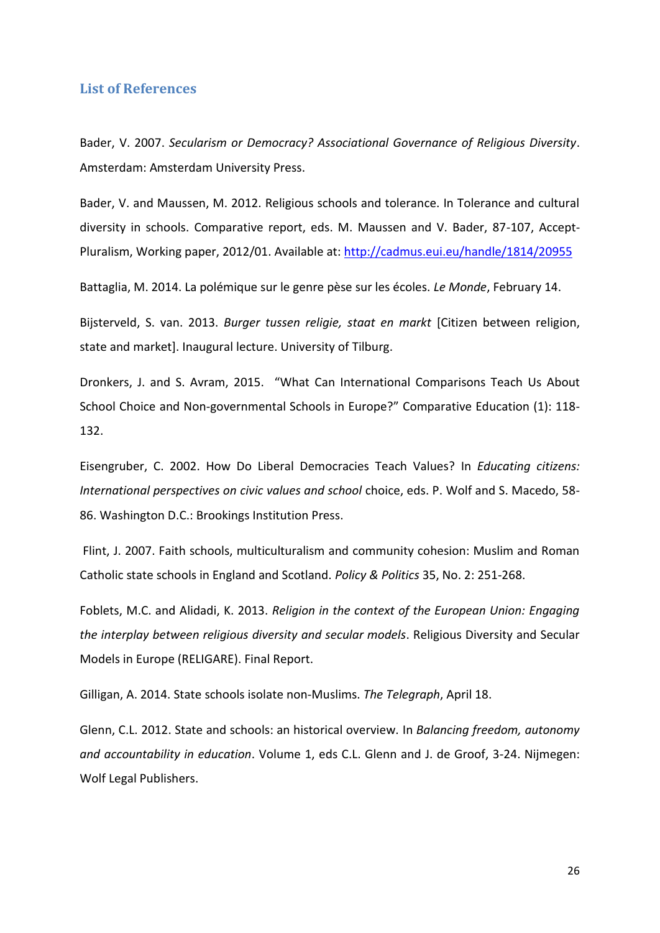## **List of References**

Bader, V. 2007. *Secularism or Democracy? Associational Governance of Religious Diversity*. Amsterdam: Amsterdam University Press.

Bader, V. and Maussen, M. 2012. Religious schools and tolerance. In Tolerance and cultural diversity in schools. Comparative report, eds. M. Maussen and V. Bader, 87-107, Accept-Pluralism, Working paper, 2012/01. Available at:<http://cadmus.eui.eu/handle/1814/20955>

Battaglia, M. 2014. La polémique sur le genre pèse sur les écoles. *Le Monde*, February 14.

Bijsterveld, S. van. 2013. *Burger tussen religie, staat en markt* [Citizen between religion, state and market]. Inaugural lecture. University of Tilburg.

Dronkers, J. and S. Avram, 2015. "What Can International Comparisons Teach Us About School Choice and Non-governmental Schools in Europe?" Comparative Education (1): 118- 132.

Eisengruber, C. 2002. How Do Liberal Democracies Teach Values? In *Educating citizens: International perspectives on civic values and school* choice, eds. P. Wolf and S. Macedo, 58- 86. Washington D.C.: Brookings Institution Press.

Flint, J. 2007. Faith schools, multiculturalism and community cohesion: Muslim and Roman Catholic state schools in England and Scotland. *Policy & Politics* 35, No. 2: 251-268.

Foblets, M.C. and Alidadi, K. 2013. *Religion in the context of the European Union: Engaging the interplay between religious diversity and secular models*. Religious Diversity and Secular Models in Europe (RELIGARE). Final Report.

Gilligan, A. 2014. State schools isolate non-Muslims. *The Telegraph*, April 18.

Glenn, C.L. 2012. State and schools: an historical overview. In *Balancing freedom, autonomy and accountability in education*. Volume 1, eds C.L. Glenn and J. de Groof, 3-24. Nijmegen: Wolf Legal Publishers.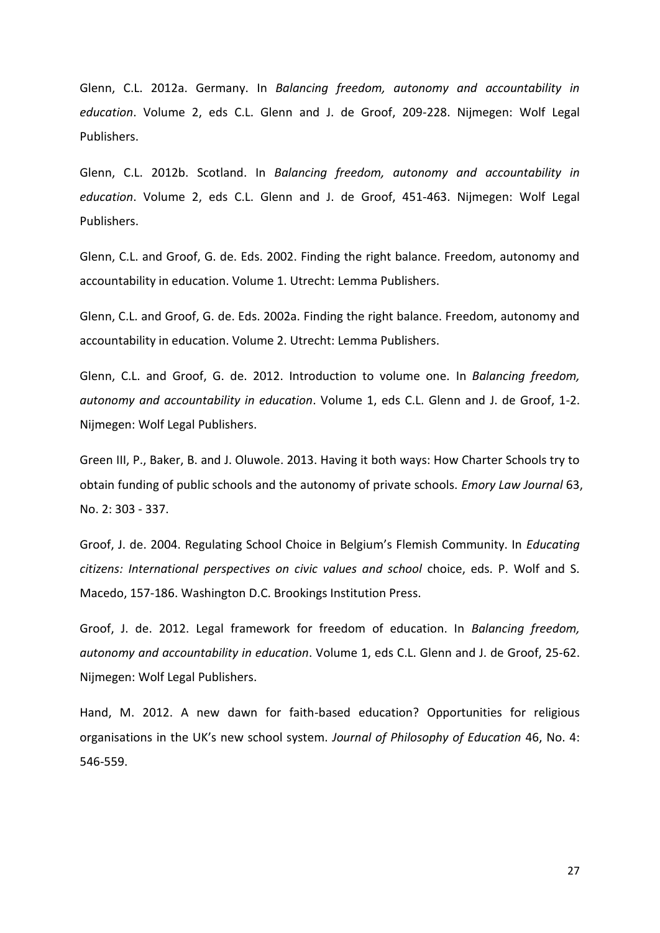Glenn, C.L. 2012a. Germany. In *Balancing freedom, autonomy and accountability in education*. Volume 2, eds C.L. Glenn and J. de Groof, 209-228. Nijmegen: Wolf Legal Publishers.

Glenn, C.L. 2012b. Scotland. In *Balancing freedom, autonomy and accountability in education*. Volume 2, eds C.L. Glenn and J. de Groof, 451-463. Nijmegen: Wolf Legal Publishers.

Glenn, C.L. and Groof, G. de. Eds. 2002. Finding the right balance. Freedom, autonomy and accountability in education. Volume 1. Utrecht: Lemma Publishers.

Glenn, C.L. and Groof, G. de. Eds. 2002a. Finding the right balance. Freedom, autonomy and accountability in education. Volume 2. Utrecht: Lemma Publishers.

Glenn, C.L. and Groof, G. de. 2012. Introduction to volume one. In *Balancing freedom, autonomy and accountability in education*. Volume 1, eds C.L. Glenn and J. de Groof, 1-2. Nijmegen: Wolf Legal Publishers.

Green III, P., Baker, B. and J. Oluwole. 2013. Having it both ways: How Charter Schools try to obtain funding of public schools and the autonomy of private schools. *Emory Law Journal* 63, No. 2: 303 - 337.

Groof, J. de. 2004. Regulating School Choice in Belgium's Flemish Community. In *Educating citizens: International perspectives on civic values and school* choice, eds. P. Wolf and S. Macedo, 157-186. Washington D.C. Brookings Institution Press.

Groof, J. de. 2012. Legal framework for freedom of education. In *Balancing freedom, autonomy and accountability in education*. Volume 1, eds C.L. Glenn and J. de Groof, 25-62. Nijmegen: Wolf Legal Publishers.

Hand, M. 2012. A new dawn for faith-based education? Opportunities for religious organisations in the UK's new school system. *Journal of Philosophy of Education* 46, No. 4: 546-559.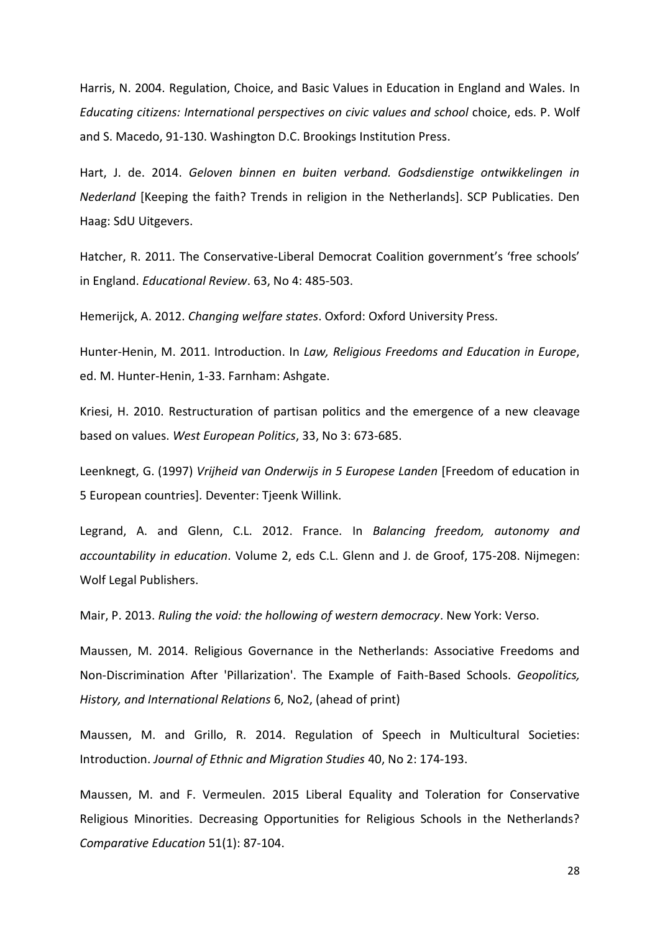Harris, N. 2004. Regulation, Choice, and Basic Values in Education in England and Wales. In *Educating citizens: International perspectives on civic values and school* choice, eds. P. Wolf and S. Macedo, 91-130. Washington D.C. Brookings Institution Press.

Hart, J. de. 2014. *Geloven binnen en buiten verband. Godsdienstige ontwikkelingen in Nederland* [Keeping the faith? Trends in religion in the Netherlands]. SCP Publicaties. Den Haag: SdU Uitgevers.

Hatcher, R. 2011. The Conservative-Liberal Democrat Coalition government's 'free schools' in England. *Educational Review*. 63, No 4: 485-503.

Hemerijck, A. 2012. *Changing welfare states*. Oxford: Oxford University Press.

Hunter-Henin, M. 2011. Introduction. In *Law, Religious Freedoms and Education in Europe*, ed. M. Hunter-Henin, 1-33. Farnham: Ashgate.

Kriesi, H. 2010. Restructuration of partisan politics and the emergence of a new cleavage based on values. *West European Politics*, 33, No 3: 673-685.

Leenknegt, G. (1997) *Vrijheid van Onderwijs in 5 Europese Landen* [Freedom of education in 5 European countries]*.* Deventer: Tjeenk Willink.

Legrand, A. and Glenn, C.L. 2012. France. In *Balancing freedom, autonomy and accountability in education*. Volume 2, eds C.L. Glenn and J. de Groof, 175-208. Nijmegen: Wolf Legal Publishers.

Mair, P. 2013. *Ruling the void: the hollowing of western democracy*. New York: Verso.

Maussen, M. 2014. Religious Governance in the Netherlands: Associative Freedoms and Non-Discrimination After 'Pillarization'. The Example of Faith-Based Schools. *Geopolitics, History, and International Relations* 6, No2, (ahead of print)

Maussen, M. and Grillo, R. 2014. Regulation of Speech in Multicultural Societies: Introduction. *Journal of Ethnic and Migration Studies* 40, No 2: 174-193.

Maussen, M. and F. Vermeulen. 2015 Liberal Equality and Toleration for Conservative Religious Minorities. Decreasing Opportunities for Religious Schools in the Netherlands? *Comparative Education* 51(1): 87-104.

28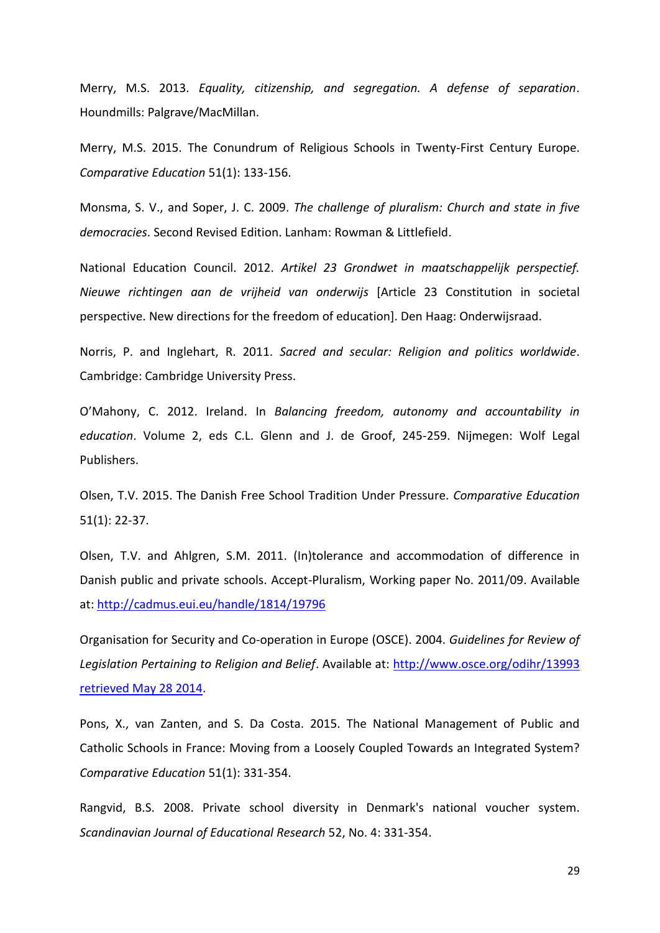Merry, M.S. 2013. *Equality, citizenship, and segregation. A defense of separation*. Houndmills: Palgrave/MacMillan.

Merry, M.S. 2015. The Conundrum of Religious Schools in Twenty-First Century Europe. *Comparative Education* 51(1): 133-156.

Monsma, S. V., and Soper, J. C. 2009. *The challenge of pluralism: Church and state in five democracies*. Second Revised Edition. Lanham: Rowman & Littlefield.

National Education Council. 2012. *Artikel 23 Grondwet in maatschappelijk perspectief. Nieuwe richtingen aan de vrijheid van onderwijs* [Article 23 Constitution in societal perspective. New directions for the freedom of education]. Den Haag: Onderwijsraad.

Norris, P. and Inglehart, R. 2011. *Sacred and secular: Religion and politics worldwide*. Cambridge: Cambridge University Press.

O'Mahony, C. 2012. Ireland. In *Balancing freedom, autonomy and accountability in education*. Volume 2, eds C.L. Glenn and J. de Groof, 245-259. Nijmegen: Wolf Legal Publishers.

Olsen, T.V. 2015. The Danish Free School Tradition Under Pressure. *Comparative Education* 51(1): 22-37.

Olsen, T.V. and Ahlgren, S.M. 2011. (In)tolerance and accommodation of difference in Danish public and private schools. Accept-Pluralism, Working paper No. 2011/09. Available at[: http://cadmus.eui.eu/handle/1814/19796](http://cadmus.eui.eu/handle/1814/19796)

Organisation for Security and Co-operation in Europe (OSCE). 2004. *Guidelines for Review of Legislation Pertaining to Religion and Belief*. Available at: [http://www.osce.org/odihr/13993](http://www.osce.org/odihr/13993%20retrieved%20May%2028%202014) [retrieved May 28 2014.](http://www.osce.org/odihr/13993%20retrieved%20May%2028%202014)

Pons, X., van Zanten, and S. Da Costa. 2015. The National Management of Public and Catholic Schools in France: Moving from a Loosely Coupled Towards an Integrated System? *Comparative Education* 51(1): 331-354.

Rangvid, B.S. 2008. Private school diversity in Denmark's national voucher system. *Scandinavian Journal of Educational Research* 52, No. 4: 331-354.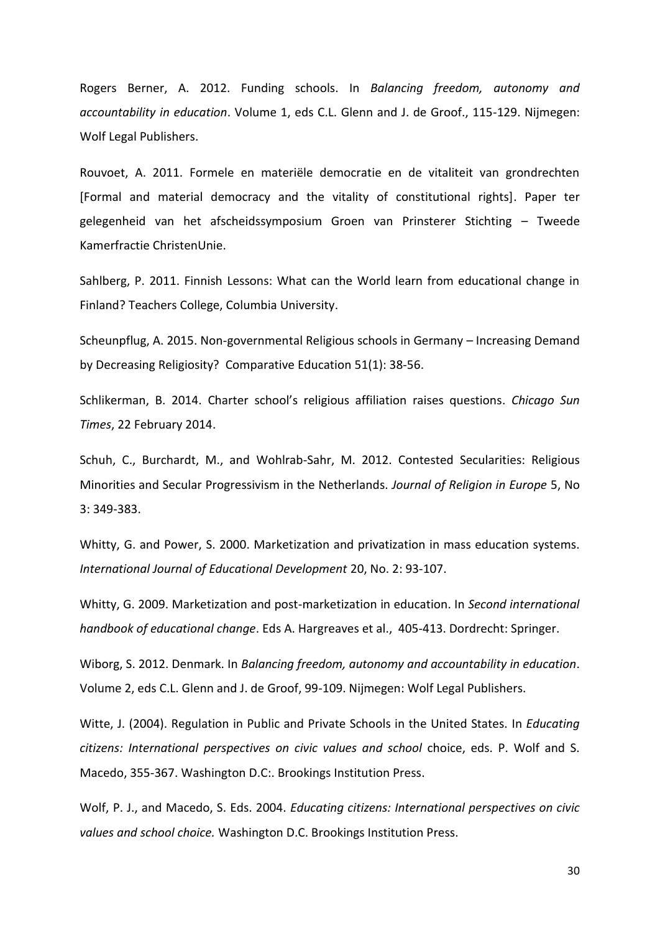Rogers Berner, A. 2012. Funding schools. In *Balancing freedom, autonomy and accountability in education*. Volume 1, eds C.L. Glenn and J. de Groof., 115-129. Nijmegen: Wolf Legal Publishers.

Rouvoet, A. 2011. Formele en materiële democratie en de vitaliteit van grondrechten [Formal and material democracy and the vitality of constitutional rights]. Paper ter gelegenheid van het afscheidssymposium Groen van Prinsterer Stichting – Tweede Kamerfractie ChristenUnie.

Sahlberg, P. 2011. Finnish Lessons: What can the World learn from educational change in Finland? Teachers College, Columbia University.

Scheunpflug, A. 2015. Non-governmental Religious schools in Germany – Increasing Demand by Decreasing Religiosity? Comparative Education 51(1): 38-56.

Schlikerman, B. 2014. Charter school's religious affiliation raises questions. *Chicago Sun Times*, 22 February 2014.

Schuh, C., Burchardt, M., and Wohlrab-Sahr, M. 2012. Contested Secularities: Religious Minorities and Secular Progressivism in the Netherlands. *Journal of Religion in Europe* 5, No 3: 349-383.

Whitty, G. and Power, S. 2000. Marketization and privatization in mass education systems. *International Journal of Educational Development* 20, No. 2: 93-107.

Whitty, G. 2009. Marketization and post-marketization in education. In *Second international handbook of educational change*. Eds A. Hargreaves et al., 405-413. Dordrecht: Springer.

Wiborg, S. 2012. Denmark. In *Balancing freedom, autonomy and accountability in education*. Volume 2, eds C.L. Glenn and J. de Groof, 99-109. Nijmegen: Wolf Legal Publishers.

Witte, J. (2004). Regulation in Public and Private Schools in the United States. In *Educating citizens: International perspectives on civic values and school* choice, eds. P. Wolf and S. Macedo, 355-367. Washington D.C:. Brookings Institution Press.

Wolf, P. J., and Macedo, S. Eds. 2004. *Educating citizens: International perspectives on civic values and school choice.* Washington D.C. Brookings Institution Press.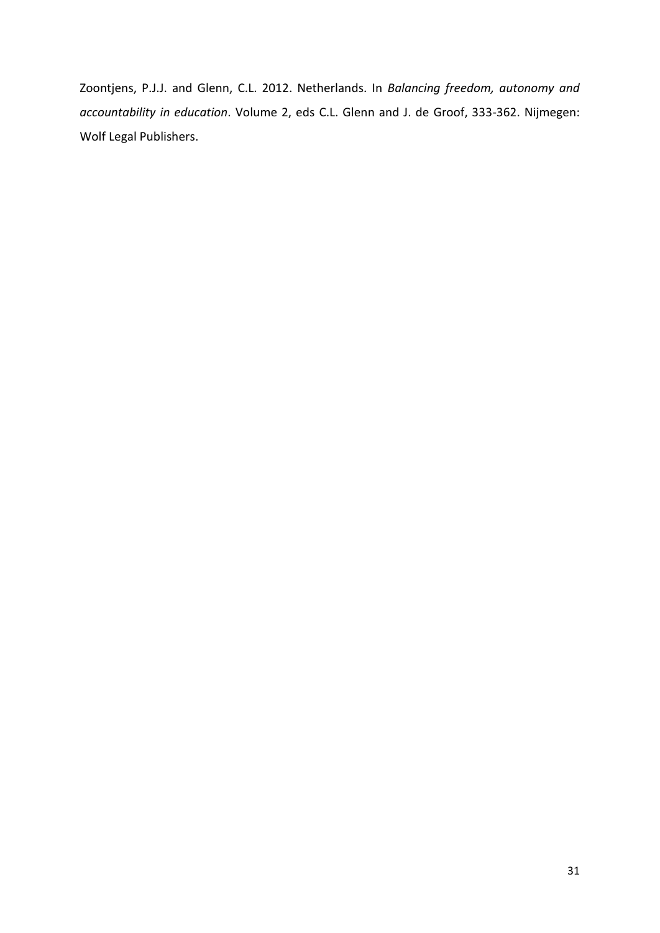Zoontjens, P.J.J. and Glenn, C.L. 2012. Netherlands. In *Balancing freedom, autonomy and accountability in education*. Volume 2, eds C.L. Glenn and J. de Groof, 333-362. Nijmegen: Wolf Legal Publishers.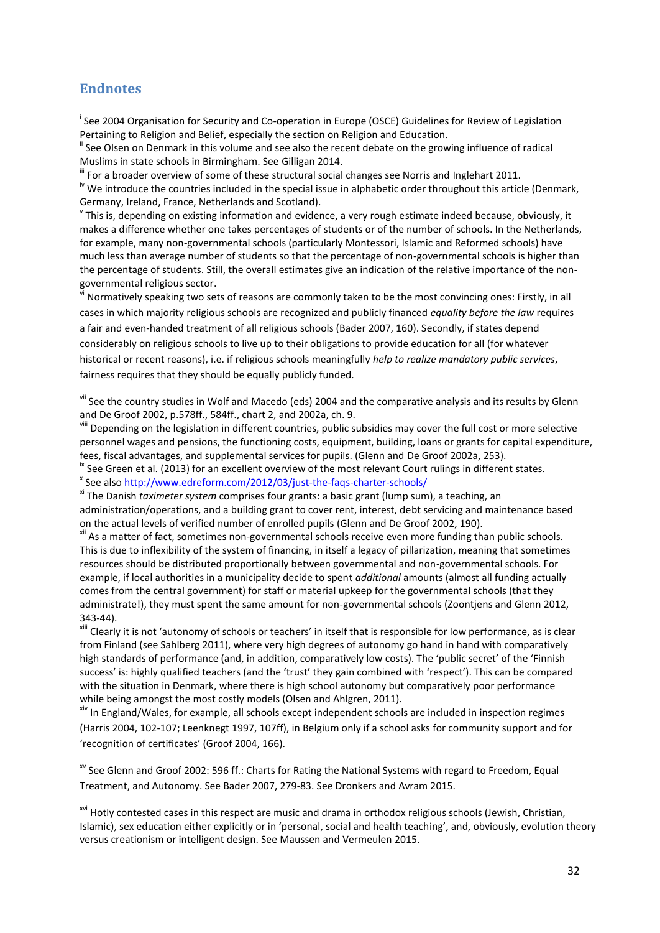## **Endnotes**

-

<sup>i</sup> See 2004 Organisation for Security and Co-operation in Europe (OSCE) Guidelines for Review of Legislation Pertaining to Religion and Belief, especially the section on Religion and Education.

<sup>ii</sup> See Olsen on Denmark in this volume and see also the recent debate on the growing influence of radical Muslims in state schools in Birmingham. See Gilligan 2014.

 $\mathsf{I}^{\mathsf{III}}$  For a broader overview of some of these structural social changes see Norris and Inglehart 2011.

<sup>iv</sup> We introduce the countries included in the special issue in alphabetic order throughout this article (Denmark, Germany, Ireland, France, Netherlands and Scotland).

 $\mathrm{v}$ This is, depending on existing information and evidence, a very rough estimate indeed because, obviously, it makes a difference whether one takes percentages of students or of the number of schools. In the Netherlands, for example, many non-governmental schools (particularly Montessori, Islamic and Reformed schools) have much less than average number of students so that the percentage of non-governmental schools is higher than the percentage of students. Still, the overall estimates give an indication of the relative importance of the nongovernmental religious sector.

vi Normatively speaking two sets of reasons are commonly taken to be the most convincing ones: Firstly, in all cases in which majority religious schools are recognized and publicly financed *equality before the law* requires a fair and even-handed treatment of all religious schools (Bader 2007, 160). Secondly, if states depend considerably on religious schools to live up to their obligations to provide education for all (for whatever historical or recent reasons), i.e. if religious schools meaningfully *help to realize mandatory public services*, fairness requires that they should be equally publicly funded.

vii See the country studies in Wolf and Macedo (eds) 2004 and the comparative analysis and its results by Glenn and De Groof 2002, p.578ff., 584ff., chart 2, and 2002a, ch. 9.

viii Depending on the legislation in different countries, public subsidies may cover the full cost or more selective personnel wages and pensions, the functioning costs, equipment, building, loans or grants for capital expenditure, fees, fiscal advantages, and supplemental services for pupils. (Glenn and De Groof 2002a, 253).

<sup>ix</sup> See Green et al. (2013) for an excellent overview of the most relevant Court rulings in different states.

<sup>x</sup> See als[o http://www.edreform.com/2012/03/just-the-faqs-charter-schools/](http://www.edreform.com/2012/03/just-the-faqs-charter-schools/)

xi The Danish *taximeter system* comprises four grants: a basic grant (lump sum), a teaching, an administration/operations, and a building grant to cover rent, interest, debt servicing and maintenance based on the actual levels of verified number of enrolled pupils (Glenn and De Groof 2002, 190).

<sup>xii</sup> As a matter of fact, sometimes non-governmental schools receive even more funding than public schools. This is due to inflexibility of the system of financing, in itself a legacy of pillarization, meaning that sometimes resources should be distributed proportionally between governmental and non-governmental schools. For example, if local authorities in a municipality decide to spent *additional* amounts (almost all funding actually comes from the central government) for staff or material upkeep for the governmental schools (that they administrate!), they must spent the same amount for non-governmental schools (Zoontjens and Glenn 2012, 343-44).

xiii Clearly it is not 'autonomy of schools or teachers' in itself that is responsible for low performance, as is clear from Finland (see Sahlberg 2011), where very high degrees of autonomy go hand in hand with comparatively high standards of performance (and, in addition, comparatively low costs). The 'public secret' of the 'Finnish success' is: highly qualified teachers (and the 'trust' they gain combined with 'respect'). This can be compared with the situation in Denmark, where there is high school autonomy but comparatively poor performance while being amongst the most costly models (Olsen and Ahlgren, 2011).

xiv In England/Wales, for example, all schools except independent schools are included in inspection regimes (Harris 2004, 102-107; Leenknegt 1997, 107ff), in Belgium only if a school asks for community support and for 'recognition of certificates' (Groof 2004, 166).

<sup>xv</sup> See Glenn and Groof 2002: 596 ff.: Charts for Rating the National Systems with regard to Freedom, Equal Treatment, and Autonomy. See Bader 2007, 279-83. See Dronkers and Avram 2015.

<sup>xvi</sup> Hotly contested cases in this respect are music and drama in orthodox religious schools (Jewish, Christian, Islamic), sex education either explicitly or in 'personal, social and health teaching', and, obviously, evolution theory versus creationism or intelligent design. See Maussen and Vermeulen 2015.